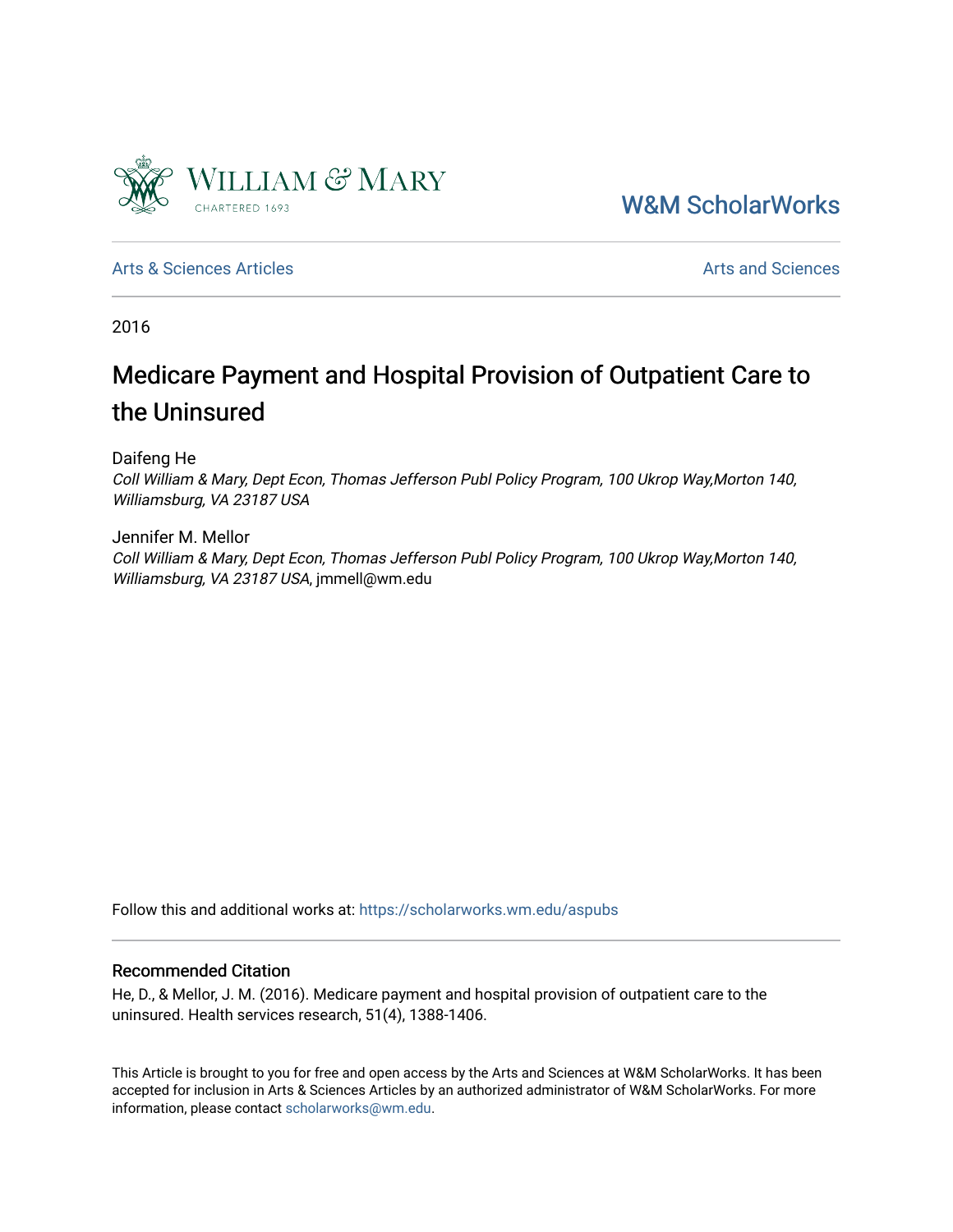

[W&M ScholarWorks](https://scholarworks.wm.edu/) 

[Arts & Sciences Articles](https://scholarworks.wm.edu/aspubs) **Articles** [Arts and Sciences](https://scholarworks.wm.edu/as) Articles Arts and Sciences Arts and Sciences Articles **Arts** and Sciences Arts and Sciences **Arts** and Sciences **Arts** and Sciences **Arts** and Sciences **Arts** and Scien

2016

# Medicare Payment and Hospital Provision of Outpatient Care to the Uninsured

Daifeng He

Coll William & Mary, Dept Econ, Thomas Jefferson Publ Policy Program, 100 Ukrop Way,Morton 140, Williamsburg, VA 23187 USA

Jennifer M. Mellor Coll William & Mary, Dept Econ, Thomas Jefferson Publ Policy Program, 100 Ukrop Way,Morton 140, Williamsburg, VA 23187 USA, jmmell@wm.edu

Follow this and additional works at: [https://scholarworks.wm.edu/aspubs](https://scholarworks.wm.edu/aspubs?utm_source=scholarworks.wm.edu%2Faspubs%2F652&utm_medium=PDF&utm_campaign=PDFCoverPages) 

## Recommended Citation

He, D., & Mellor, J. M. (2016). Medicare payment and hospital provision of outpatient care to the uninsured. Health services research, 51(4), 1388-1406.

This Article is brought to you for free and open access by the Arts and Sciences at W&M ScholarWorks. It has been accepted for inclusion in Arts & Sciences Articles by an authorized administrator of W&M ScholarWorks. For more information, please contact [scholarworks@wm.edu](mailto:scholarworks@wm.edu).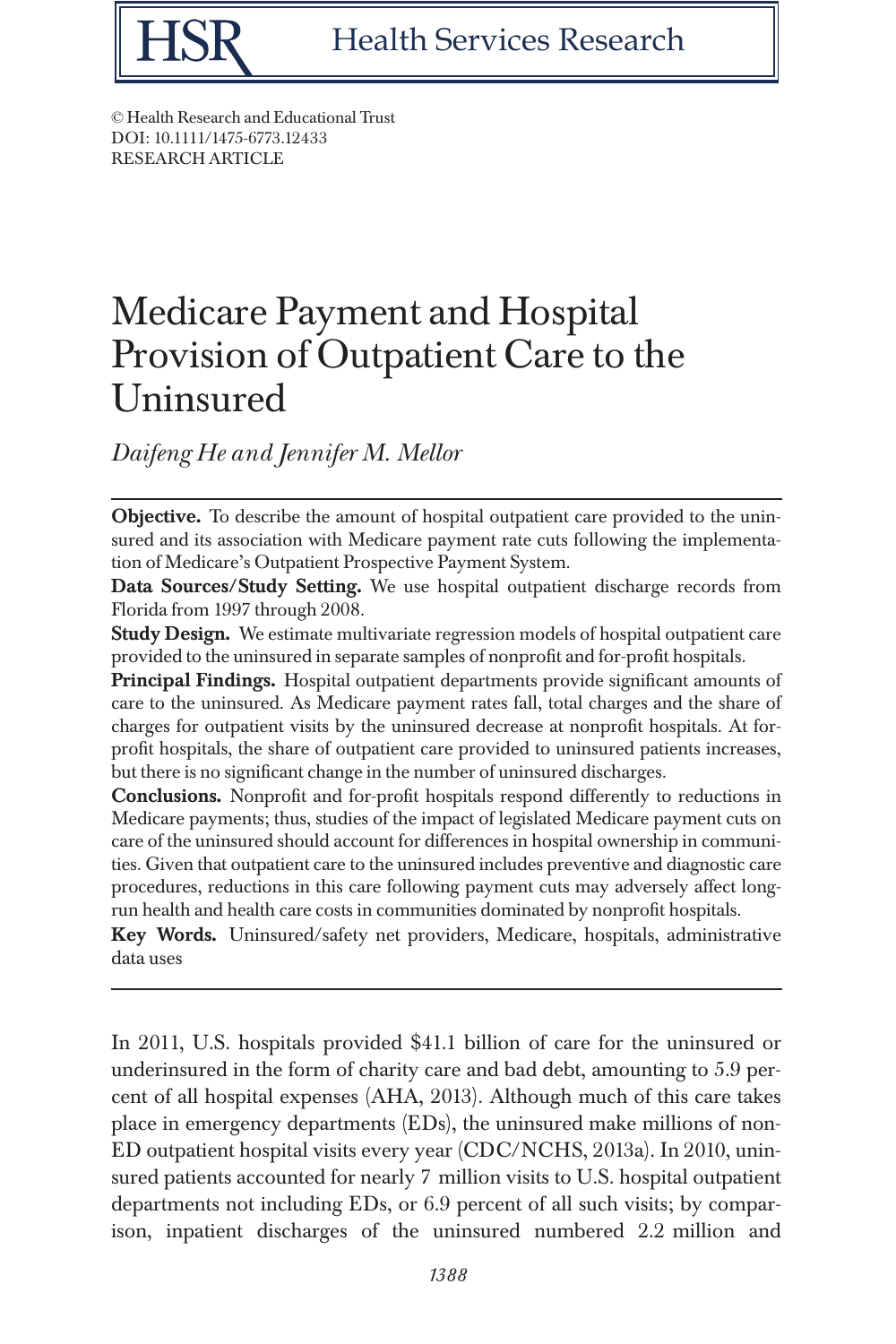## Health Services Research

© Health Research and Educational Trust DOI: 10.1111/1475-6773.12433 RESEARCH ARTICLE

## Medicare Payment and Hospital Provision of Outpatient Care to the Uninsured

Daifeng He and Jennifer M. Mellor

Objective. To describe the amount of hospital outpatient care provided to the uninsured and its association with Medicare payment rate cuts following the implementation of Medicare's Outpatient Prospective Payment System.

Data Sources/Study Setting. We use hospital outpatient discharge records from Florida from 1997 through 2008.

Study Design. We estimate multivariate regression models of hospital outpatient care provided to the uninsured in separate samples of nonprofit and for-profit hospitals.

Principal Findings. Hospital outpatient departments provide significant amounts of care to the uninsured. As Medicare payment rates fall, total charges and the share of charges for outpatient visits by the uninsured decrease at nonprofit hospitals. At forprofit hospitals, the share of outpatient care provided to uninsured patients increases, but there is no significant change in the number of uninsured discharges.

Conclusions. Nonprofit and for-profit hospitals respond differently to reductions in Medicare payments; thus, studies of the impact of legislated Medicare payment cuts on care of the uninsured should account for differences in hospital ownership in communities. Given that outpatient care to the uninsured includes preventive and diagnostic care procedures, reductions in this care following payment cuts may adversely affect longrun health and health care costs in communities dominated by nonprofit hospitals.

Key Words. Uninsured/safety net providers, Medicare, hospitals, administrative data uses

In 2011, U.S. hospitals provided \$41.1 billion of care for the uninsured or underinsured in the form of charity care and bad debt, amounting to 5.9 percent of all hospital expenses (AHA, 2013). Although much of this care takes place in emergency departments (EDs), the uninsured make millions of non-ED outpatient hospital visits every year (CDC/NCHS, 2013a). In 2010, uninsured patients accounted for nearly 7 million visits to U.S. hospital outpatient departments not including EDs, or 6.9 percent of all such visits; by comparison, inpatient discharges of the uninsured numbered 2.2 million and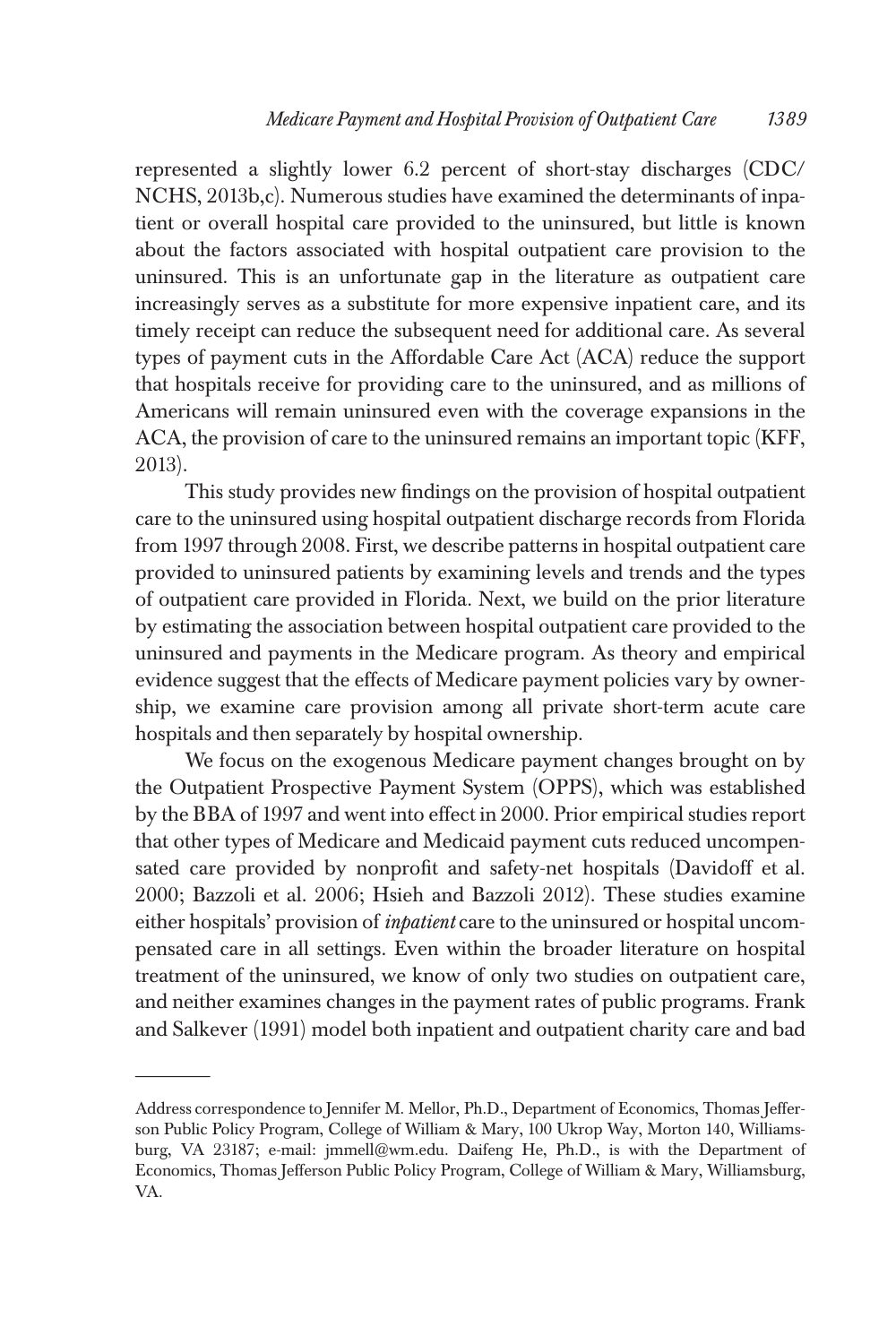represented a slightly lower 6.2 percent of short-stay discharges (CDC/ NCHS, 2013b,c). Numerous studies have examined the determinants of inpatient or overall hospital care provided to the uninsured, but little is known about the factors associated with hospital outpatient care provision to the uninsured. This is an unfortunate gap in the literature as outpatient care increasingly serves as a substitute for more expensive inpatient care, and its timely receipt can reduce the subsequent need for additional care. As several types of payment cuts in the Affordable Care Act (ACA) reduce the support that hospitals receive for providing care to the uninsured, and as millions of Americans will remain uninsured even with the coverage expansions in the ACA, the provision of care to the uninsured remains an important topic (KFF, 2013).

This study provides new findings on the provision of hospital outpatient care to the uninsured using hospital outpatient discharge records from Florida from 1997 through 2008. First, we describe patterns in hospital outpatient care provided to uninsured patients by examining levels and trends and the types of outpatient care provided in Florida. Next, we build on the prior literature by estimating the association between hospital outpatient care provided to the uninsured and payments in the Medicare program. As theory and empirical evidence suggest that the effects of Medicare payment policies vary by ownership, we examine care provision among all private short-term acute care hospitals and then separately by hospital ownership.

We focus on the exogenous Medicare payment changes brought on by the Outpatient Prospective Payment System (OPPS), which was established by the BBA of 1997 and went into effect in 2000. Prior empirical studies report that other types of Medicare and Medicaid payment cuts reduced uncompensated care provided by nonprofit and safety-net hospitals (Davidoff et al. 2000; Bazzoli et al. 2006; Hsieh and Bazzoli 2012). These studies examine either hospitals' provision of inpatient care to the uninsured or hospital uncompensated care in all settings. Even within the broader literature on hospital treatment of the uninsured, we know of only two studies on outpatient care, and neither examines changes in the payment rates of public programs. Frank and Salkever (1991) model both inpatient and outpatient charity care and bad

Address correspondence to Jennifer M. Mellor, Ph.D., Department of Economics, Thomas Jefferson Public Policy Program, College of William & Mary, 100 Ukrop Way, Morton 140, Williamsburg, VA 23187; e-mail: jmmell@wm.edu. Daifeng He, Ph.D., is with the Department of Economics, Thomas Jefferson Public Policy Program, College of William & Mary, Williamsburg, VA.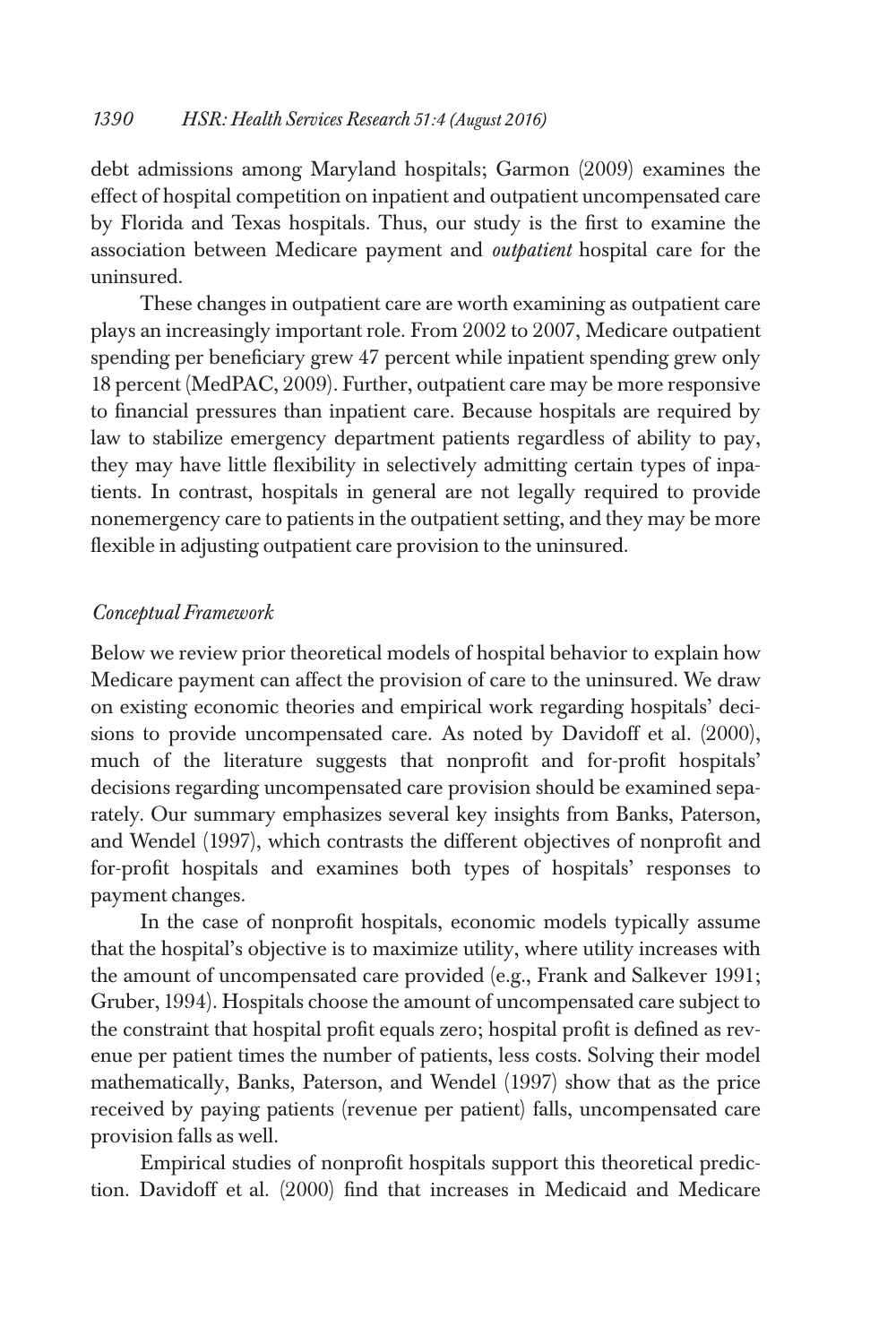debt admissions among Maryland hospitals; Garmon (2009) examines the effect of hospital competition on inpatient and outpatient uncompensated care by Florida and Texas hospitals. Thus, our study is the first to examine the association between Medicare payment and outpatient hospital care for the uninsured.

These changes in outpatient care are worth examining as outpatient care plays an increasingly important role. From 2002 to 2007, Medicare outpatient spending per beneficiary grew 47 percent while inpatient spending grew only 18 percent (MedPAC, 2009). Further, outpatient care may be more responsive to financial pressures than inpatient care. Because hospitals are required by law to stabilize emergency department patients regardless of ability to pay, they may have little flexibility in selectively admitting certain types of inpatients. In contrast, hospitals in general are not legally required to provide nonemergency care to patients in the outpatient setting, and they may be more flexible in adjusting outpatient care provision to the uninsured.

#### Conceptual Framework

Below we review prior theoretical models of hospital behavior to explain how Medicare payment can affect the provision of care to the uninsured. We draw on existing economic theories and empirical work regarding hospitals' decisions to provide uncompensated care. As noted by Davidoff et al. (2000), much of the literature suggests that nonprofit and for-profit hospitals' decisions regarding uncompensated care provision should be examined separately. Our summary emphasizes several key insights from Banks, Paterson, and Wendel (1997), which contrasts the different objectives of nonprofit and for-profit hospitals and examines both types of hospitals' responses to payment changes.

In the case of nonprofit hospitals, economic models typically assume that the hospital's objective is to maximize utility, where utility increases with the amount of uncompensated care provided (e.g., Frank and Salkever 1991; Gruber, 1994). Hospitals choose the amount of uncompensated care subject to the constraint that hospital profit equals zero; hospital profit is defined as revenue per patient times the number of patients, less costs. Solving their model mathematically, Banks, Paterson, and Wendel (1997) show that as the price received by paying patients (revenue per patient) falls, uncompensated care provision falls as well.

Empirical studies of nonprofit hospitals support this theoretical prediction. Davidoff et al. (2000) find that increases in Medicaid and Medicare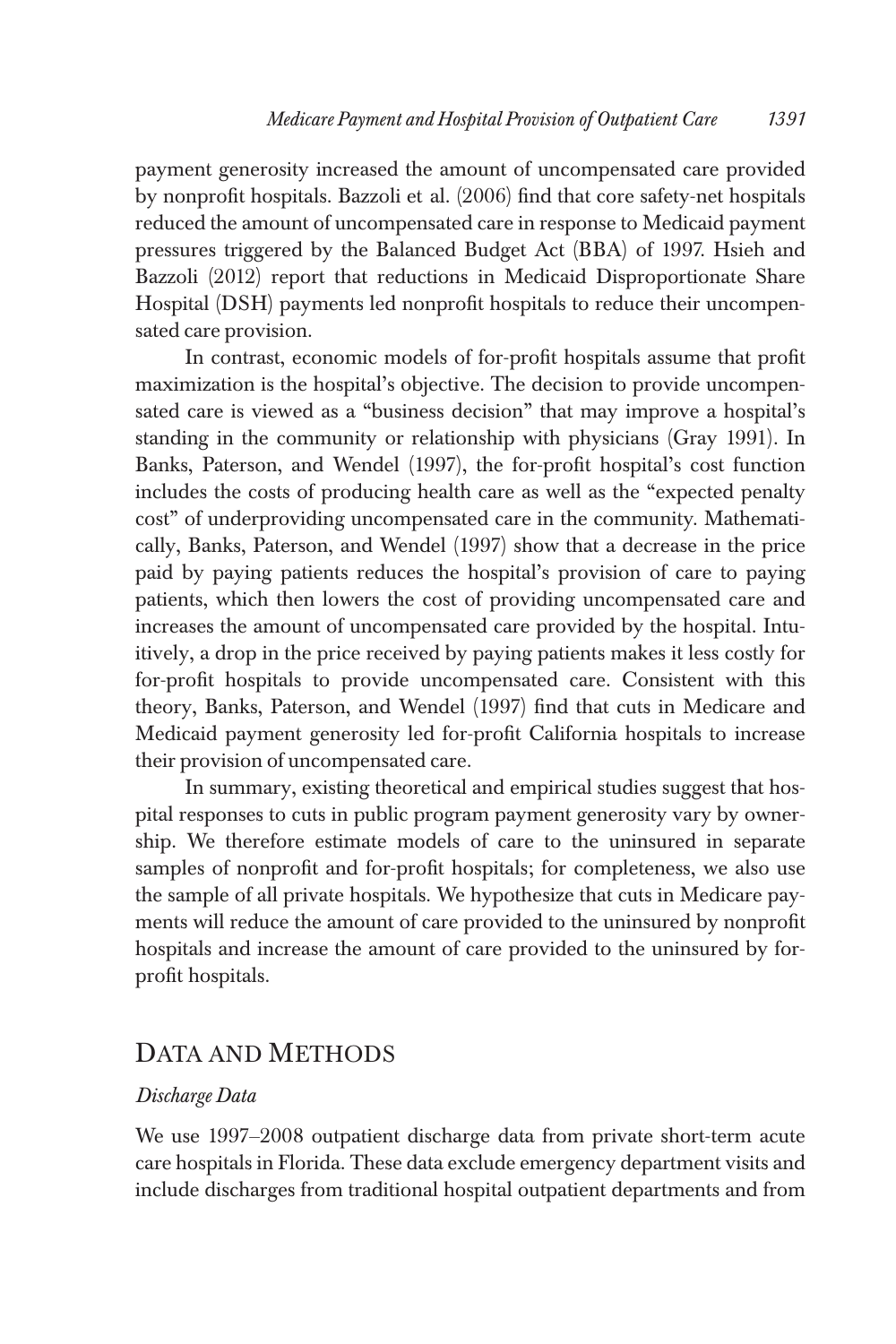payment generosity increased the amount of uncompensated care provided by nonprofit hospitals. Bazzoli et al. (2006) find that core safety-net hospitals reduced the amount of uncompensated care in response to Medicaid payment pressures triggered by the Balanced Budget Act (BBA) of 1997. Hsieh and Bazzoli (2012) report that reductions in Medicaid Disproportionate Share Hospital (DSH) payments led nonprofit hospitals to reduce their uncompensated care provision.

In contrast, economic models of for-profit hospitals assume that profit maximization is the hospital's objective. The decision to provide uncompensated care is viewed as a "business decision" that may improve a hospital's standing in the community or relationship with physicians (Gray 1991). In Banks, Paterson, and Wendel (1997), the for-profit hospital's cost function includes the costs of producing health care as well as the "expected penalty cost" of underproviding uncompensated care in the community. Mathematically, Banks, Paterson, and Wendel (1997) show that a decrease in the price paid by paying patients reduces the hospital's provision of care to paying patients, which then lowers the cost of providing uncompensated care and increases the amount of uncompensated care provided by the hospital. Intuitively, a drop in the price received by paying patients makes it less costly for for-profit hospitals to provide uncompensated care. Consistent with this theory, Banks, Paterson, and Wendel (1997) find that cuts in Medicare and Medicaid payment generosity led for-profit California hospitals to increase their provision of uncompensated care.

In summary, existing theoretical and empirical studies suggest that hospital responses to cuts in public program payment generosity vary by ownership. We therefore estimate models of care to the uninsured in separate samples of nonprofit and for-profit hospitals; for completeness, we also use the sample of all private hospitals. We hypothesize that cuts in Medicare payments will reduce the amount of care provided to the uninsured by nonprofit hospitals and increase the amount of care provided to the uninsured by forprofit hospitals.

## DATA AND METHODS

#### Discharge Data

We use 1997–2008 outpatient discharge data from private short-term acute care hospitals in Florida. These data exclude emergency department visits and include discharges from traditional hospital outpatient departments and from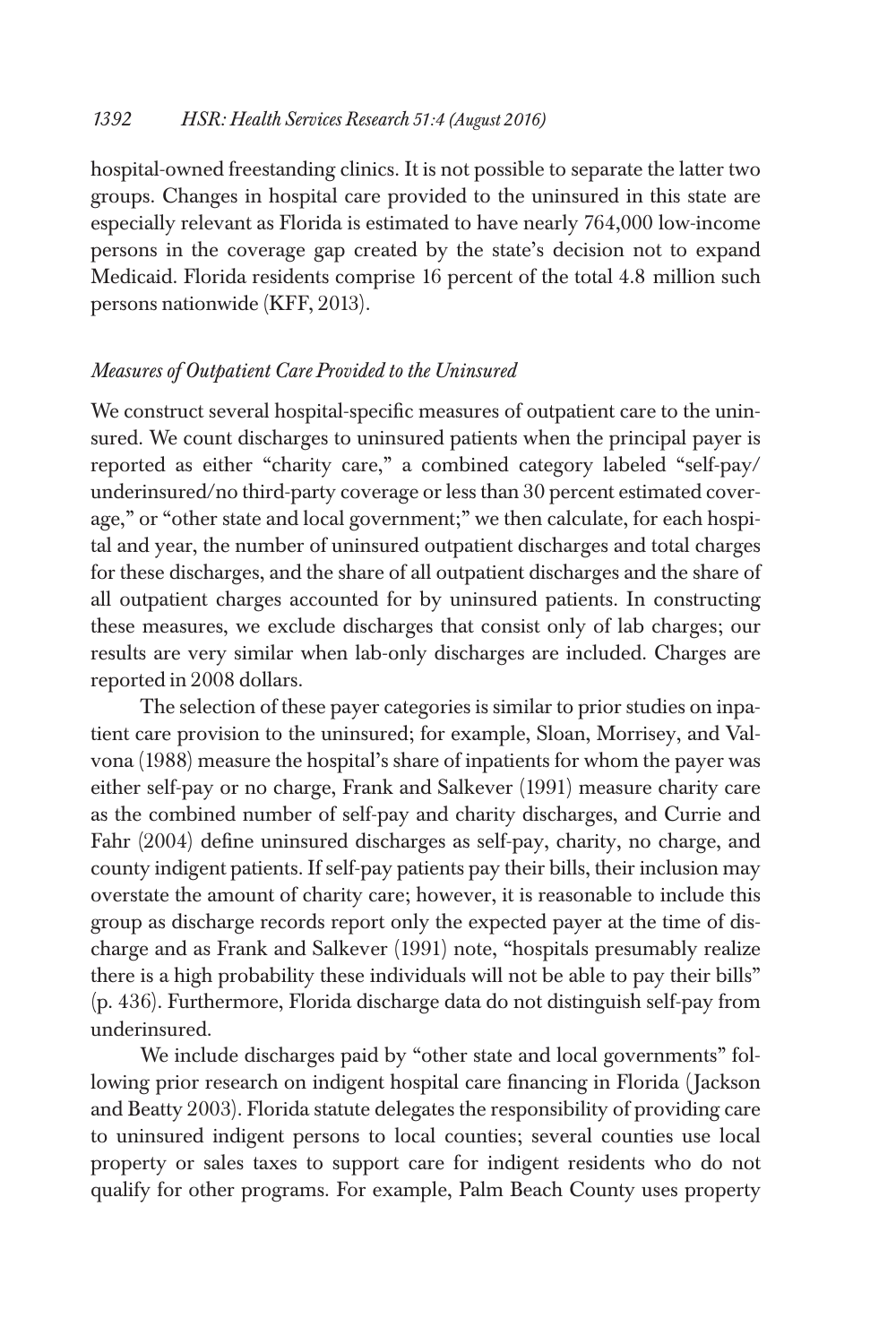hospital-owned freestanding clinics. It is not possible to separate the latter two groups. Changes in hospital care provided to the uninsured in this state are especially relevant as Florida is estimated to have nearly 764,000 low-income persons in the coverage gap created by the state's decision not to expand Medicaid. Florida residents comprise 16 percent of the total 4.8 million such persons nationwide (KFF, 2013).

#### Measures of Outpatient Care Provided to the Uninsured

We construct several hospital-specific measures of outpatient care to the uninsured. We count discharges to uninsured patients when the principal payer is reported as either "charity care," a combined category labeled "self-pay/ underinsured/no third-party coverage or less than 30 percent estimated coverage," or "other state and local government;" we then calculate, for each hospital and year, the number of uninsured outpatient discharges and total charges for these discharges, and the share of all outpatient discharges and the share of all outpatient charges accounted for by uninsured patients. In constructing these measures, we exclude discharges that consist only of lab charges; our results are very similar when lab-only discharges are included. Charges are reported in 2008 dollars.

The selection of these payer categories is similar to prior studies on inpatient care provision to the uninsured; for example, Sloan, Morrisey, and Valvona (1988) measure the hospital's share of inpatients for whom the payer was either self-pay or no charge, Frank and Salkever (1991) measure charity care as the combined number of self-pay and charity discharges, and Currie and Fahr (2004) define uninsured discharges as self-pay, charity, no charge, and county indigent patients. If self-pay patients pay their bills, their inclusion may overstate the amount of charity care; however, it is reasonable to include this group as discharge records report only the expected payer at the time of discharge and as Frank and Salkever (1991) note, "hospitals presumably realize there is a high probability these individuals will not be able to pay their bills" (p. 436). Furthermore, Florida discharge data do not distinguish self-pay from underinsured.

We include discharges paid by "other state and local governments" following prior research on indigent hospital care financing in Florida ( Jackson and Beatty 2003). Florida statute delegates the responsibility of providing care to uninsured indigent persons to local counties; several counties use local property or sales taxes to support care for indigent residents who do not qualify for other programs. For example, Palm Beach County uses property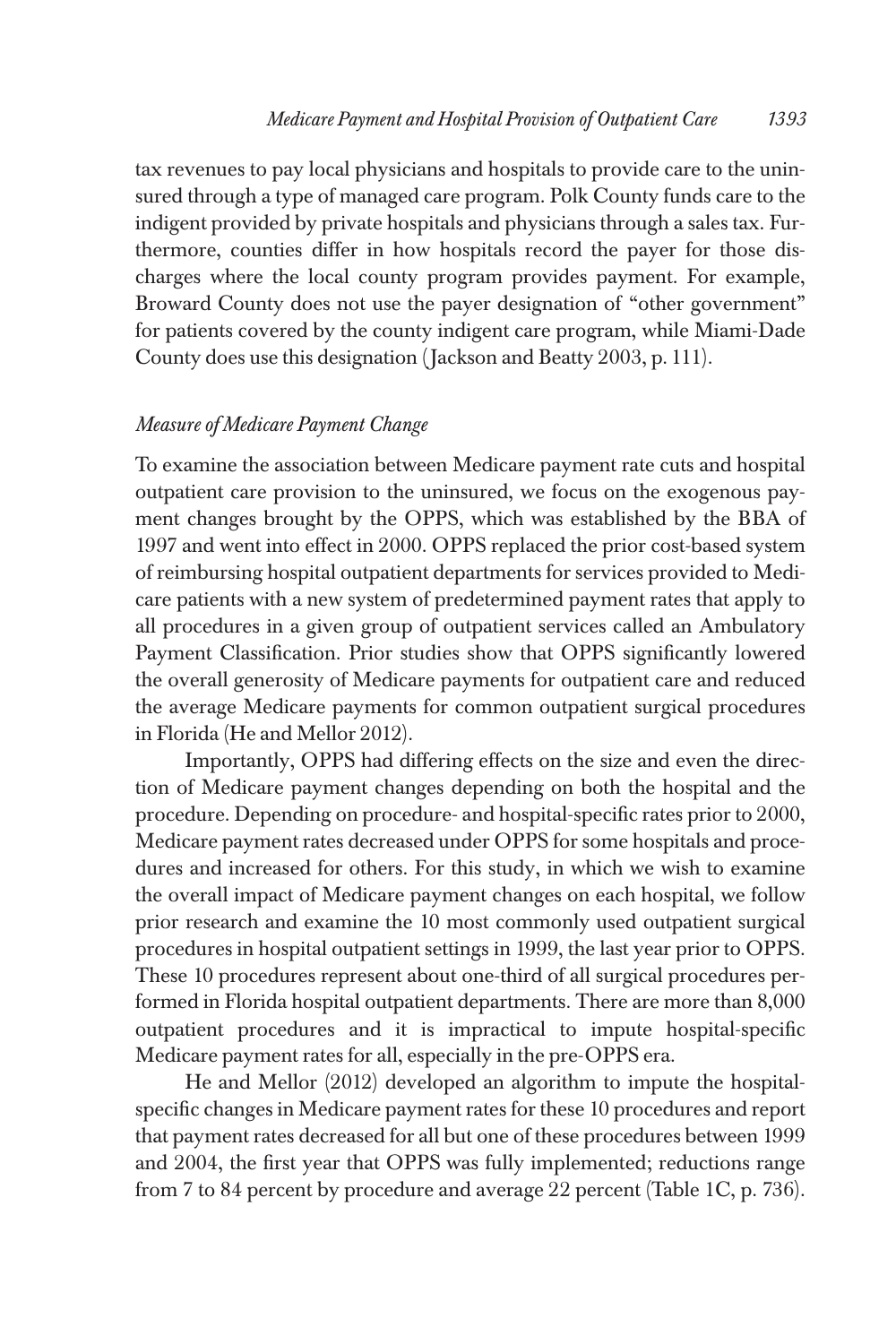tax revenues to pay local physicians and hospitals to provide care to the uninsured through a type of managed care program. Polk County funds care to the indigent provided by private hospitals and physicians through a sales tax. Furthermore, counties differ in how hospitals record the payer for those discharges where the local county program provides payment. For example, Broward County does not use the payer designation of "other government" for patients covered by the county indigent care program, while Miami-Dade County does use this designation ( Jackson and Beatty 2003, p. 111).

#### Measure of Medicare Payment Change

To examine the association between Medicare payment rate cuts and hospital outpatient care provision to the uninsured, we focus on the exogenous payment changes brought by the OPPS, which was established by the BBA of 1997 and went into effect in 2000. OPPS replaced the prior cost-based system of reimbursing hospital outpatient departments for services provided to Medicare patients with a new system of predetermined payment rates that apply to all procedures in a given group of outpatient services called an Ambulatory Payment Classification. Prior studies show that OPPS significantly lowered the overall generosity of Medicare payments for outpatient care and reduced the average Medicare payments for common outpatient surgical procedures in Florida (He and Mellor 2012).

Importantly, OPPS had differing effects on the size and even the direction of Medicare payment changes depending on both the hospital and the procedure. Depending on procedure- and hospital-specific rates prior to 2000, Medicare payment rates decreased under OPPS for some hospitals and procedures and increased for others. For this study, in which we wish to examine the overall impact of Medicare payment changes on each hospital, we follow prior research and examine the 10 most commonly used outpatient surgical procedures in hospital outpatient settings in 1999, the last year prior to OPPS. These 10 procedures represent about one-third of all surgical procedures performed in Florida hospital outpatient departments. There are more than 8,000 outpatient procedures and it is impractical to impute hospital-specific Medicare payment rates for all, especially in the pre-OPPS era.

He and Mellor (2012) developed an algorithm to impute the hospitalspecific changes in Medicare payment rates for these 10 procedures and report that payment rates decreased for all but one of these procedures between 1999 and 2004, the first year that OPPS was fully implemented; reductions range from 7 to 84 percent by procedure and average 22 percent (Table 1C, p. 736).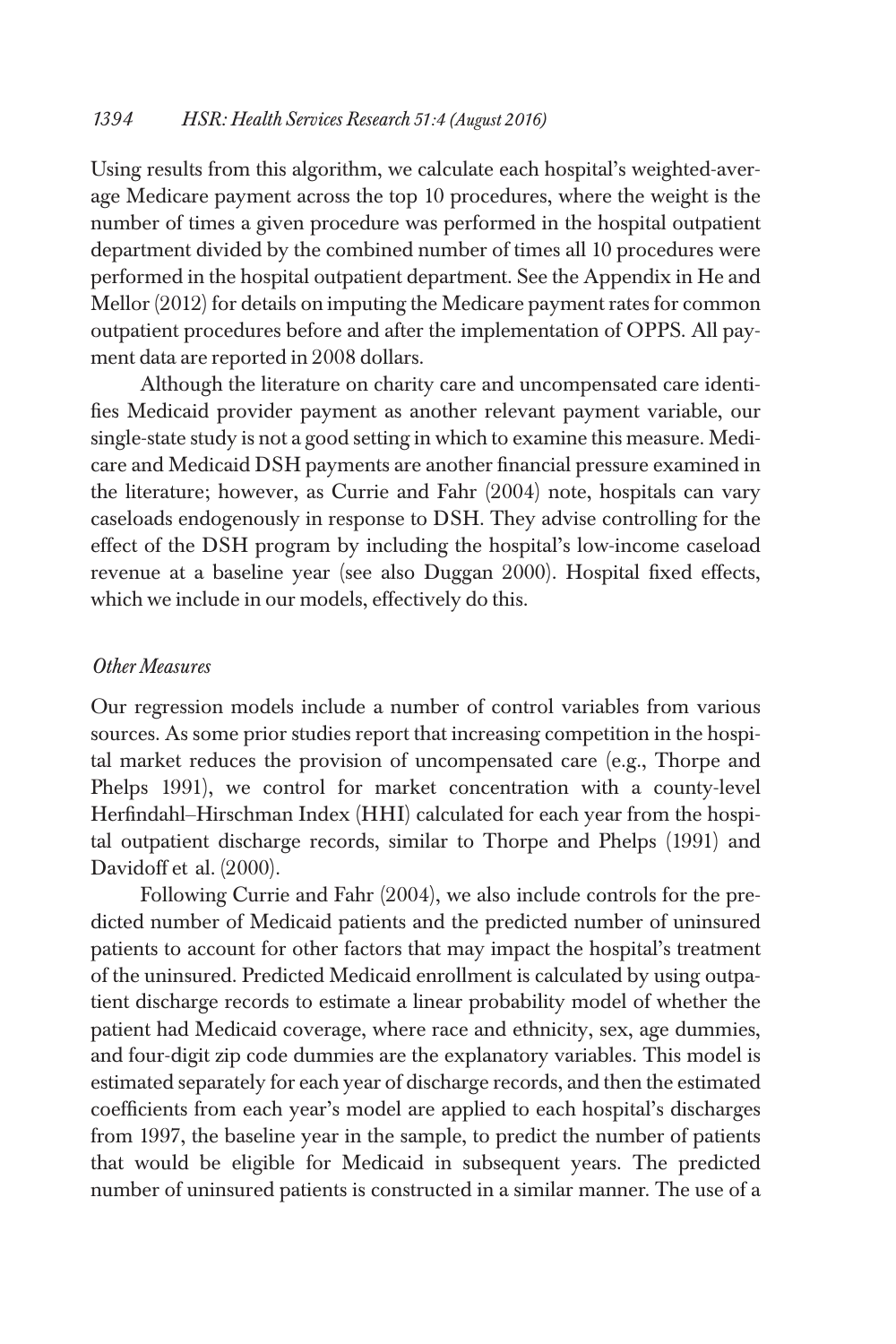Using results from this algorithm, we calculate each hospital's weighted-average Medicare payment across the top 10 procedures, where the weight is the number of times a given procedure was performed in the hospital outpatient department divided by the combined number of times all 10 procedures were performed in the hospital outpatient department. See the Appendix in He and Mellor (2012) for details on imputing the Medicare payment rates for common outpatient procedures before and after the implementation of OPPS. All payment data are reported in 2008 dollars.

Although the literature on charity care and uncompensated care identifies Medicaid provider payment as another relevant payment variable, our single-state study is not a good setting in which to examine this measure. Medicare and Medicaid DSH payments are another financial pressure examined in the literature; however, as Currie and Fahr (2004) note, hospitals can vary caseloads endogenously in response to DSH. They advise controlling for the effect of the DSH program by including the hospital's low-income caseload revenue at a baseline year (see also Duggan 2000). Hospital fixed effects, which we include in our models, effectively do this.

#### Other Measures

Our regression models include a number of control variables from various sources. As some prior studies report that increasing competition in the hospital market reduces the provision of uncompensated care (e.g., Thorpe and Phelps 1991), we control for market concentration with a county-level Herfindahl–Hirschman Index (HHI) calculated for each year from the hospital outpatient discharge records, similar to Thorpe and Phelps (1991) and Davidoff et al. (2000).

Following Currie and Fahr (2004), we also include controls for the predicted number of Medicaid patients and the predicted number of uninsured patients to account for other factors that may impact the hospital's treatment of the uninsured. Predicted Medicaid enrollment is calculated by using outpatient discharge records to estimate a linear probability model of whether the patient had Medicaid coverage, where race and ethnicity, sex, age dummies, and four-digit zip code dummies are the explanatory variables. This model is estimated separately for each year of discharge records, and then the estimated coefficients from each year's model are applied to each hospital's discharges from 1997, the baseline year in the sample, to predict the number of patients that would be eligible for Medicaid in subsequent years. The predicted number of uninsured patients is constructed in a similar manner. The use of a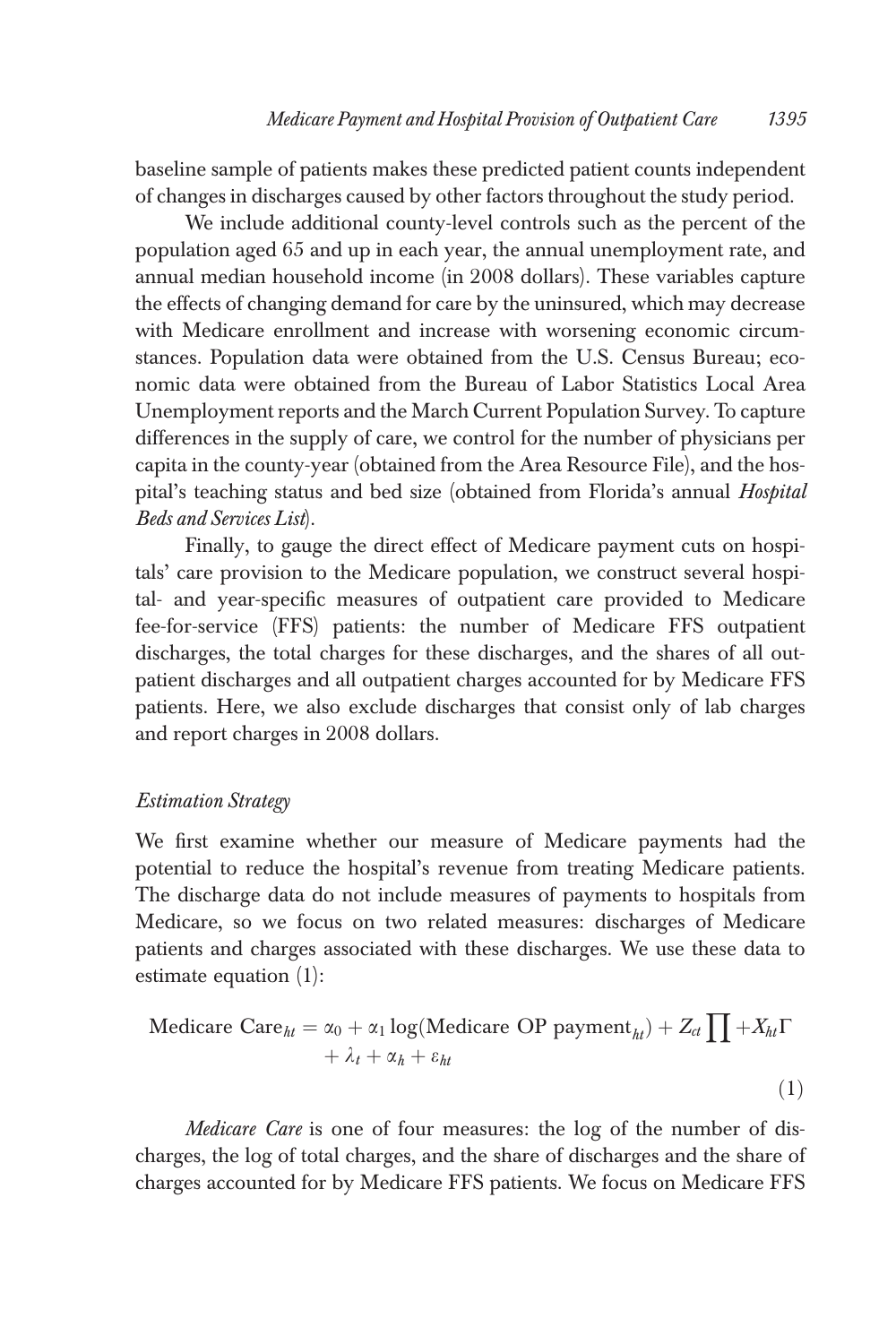baseline sample of patients makes these predicted patient counts independent of changes in discharges caused by other factors throughout the study period.

We include additional county-level controls such as the percent of the population aged 65 and up in each year, the annual unemployment rate, and annual median household income (in 2008 dollars). These variables capture the effects of changing demand for care by the uninsured, which may decrease with Medicare enrollment and increase with worsening economic circumstances. Population data were obtained from the U.S. Census Bureau; economic data were obtained from the Bureau of Labor Statistics Local Area Unemployment reports and the March Current Population Survey. To capture differences in the supply of care, we control for the number of physicians per capita in the county-year (obtained from the Area Resource File), and the hospital's teaching status and bed size (obtained from Florida's annual Hospital Beds and Services List).

Finally, to gauge the direct effect of Medicare payment cuts on hospitals' care provision to the Medicare population, we construct several hospital- and year-specific measures of outpatient care provided to Medicare fee-for-service (FFS) patients: the number of Medicare FFS outpatient discharges, the total charges for these discharges, and the shares of all outpatient discharges and all outpatient charges accounted for by Medicare FFS patients. Here, we also exclude discharges that consist only of lab charges and report charges in 2008 dollars.

#### Estimation Strategy

We first examine whether our measure of Medicare payments had the potential to reduce the hospital's revenue from treating Medicare patients. The discharge data do not include measures of payments to hospitals from Medicare, so we focus on two related measures: discharges of Medicare patients and charges associated with these discharges. We use these data to estimate equation (1):

Medicare Care<sub>ht</sub> = 
$$
\alpha_0 + \alpha_1 \log(\text{Medicare OP payment}_{ht}) + Z_{ct} \prod +X_{ht} \Gamma
$$
  
+  $\lambda_t + \alpha_h + \varepsilon_{ht}$  (1)

Medicare Care is one of four measures: the log of the number of discharges, the log of total charges, and the share of discharges and the share of charges accounted for by Medicare FFS patients. We focus on Medicare FFS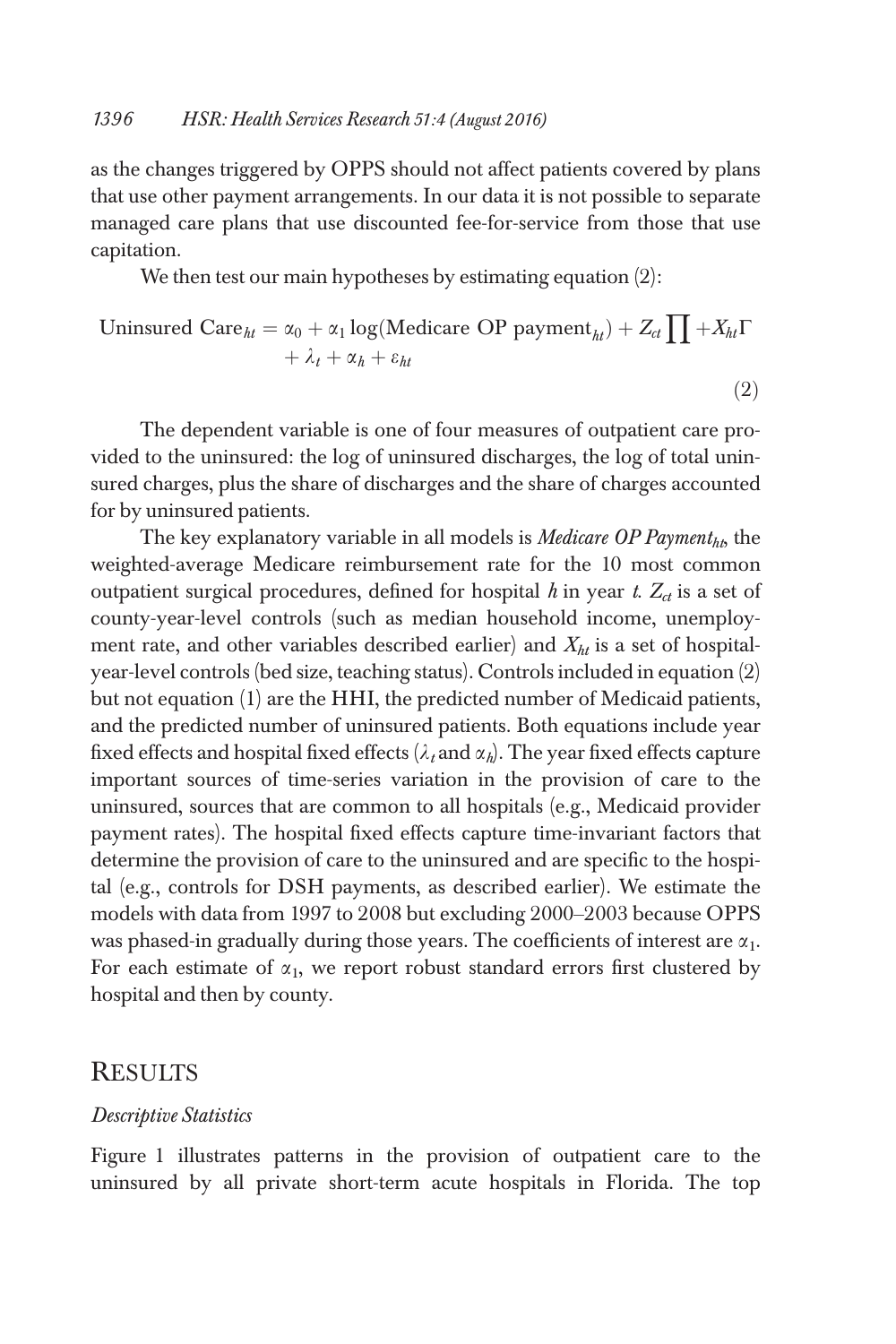as the changes triggered by OPPS should not affect patients covered by plans that use other payment arrangements. In our data it is not possible to separate managed care plans that use discounted fee-for-service from those that use capitation.

We then test our main hypotheses by estimating equation  $(2)$ :

Uninsured Care<sub>ht</sub> = 
$$
\alpha_0 + \alpha_1 \log(\text{Medicare OP payment}_{ht}) + Z_{ct} \prod +X_{ht} \Gamma
$$
  
+  $\lambda_t + \alpha_h + \varepsilon_{ht}$  (2)

The dependent variable is one of four measures of outpatient care provided to the uninsured: the log of uninsured discharges, the log of total uninsured charges, plus the share of discharges and the share of charges accounted for by uninsured patients.

The key explanatory variable in all models is *Medicare OP Payment<sub>ht</sub>*, the weighted-average Medicare reimbursement rate for the 10 most common outpatient surgical procedures, defined for hospital h in year t.  $Z_{ct}$  is a set of county-year-level controls (such as median household income, unemployment rate, and other variables described earlier) and  $X_{ht}$  is a set of hospitalyear-level controls (bed size, teaching status). Controls included in equation (2) but not equation (1) are the HHI, the predicted number of Medicaid patients, and the predicted number of uninsured patients. Both equations include year fixed effects and hospital fixed effects ( $\lambda_t$  and  $\alpha_h$ ). The year fixed effects capture important sources of time-series variation in the provision of care to the uninsured, sources that are common to all hospitals (e.g., Medicaid provider payment rates). The hospital fixed effects capture time-invariant factors that determine the provision of care to the uninsured and are specific to the hospital (e.g., controls for DSH payments, as described earlier). We estimate the models with data from 1997 to 2008 but excluding 2000–2003 because OPPS was phased-in gradually during those years. The coefficients of interest are  $\alpha_1$ . For each estimate of  $\alpha_1$ , we report robust standard errors first clustered by hospital and then by county.

### RESULTS

#### Descriptive Statistics

Figure 1 illustrates patterns in the provision of outpatient care to the uninsured by all private short-term acute hospitals in Florida. The top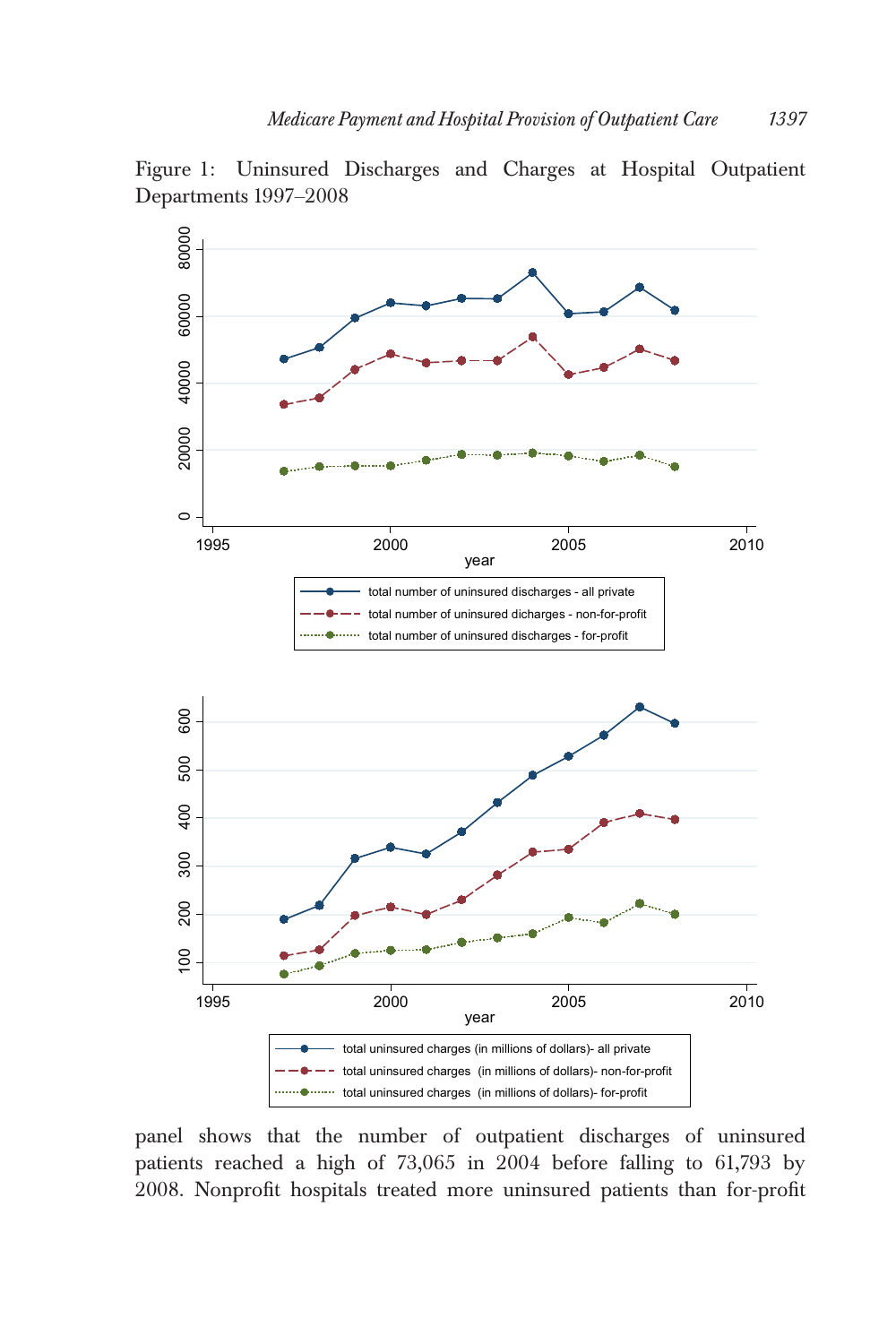



panel shows that the number of outpatient discharges of uninsured patients reached a high of 73,065 in 2004 before falling to 61,793 by 2008. Nonprofit hospitals treated more uninsured patients than for-profit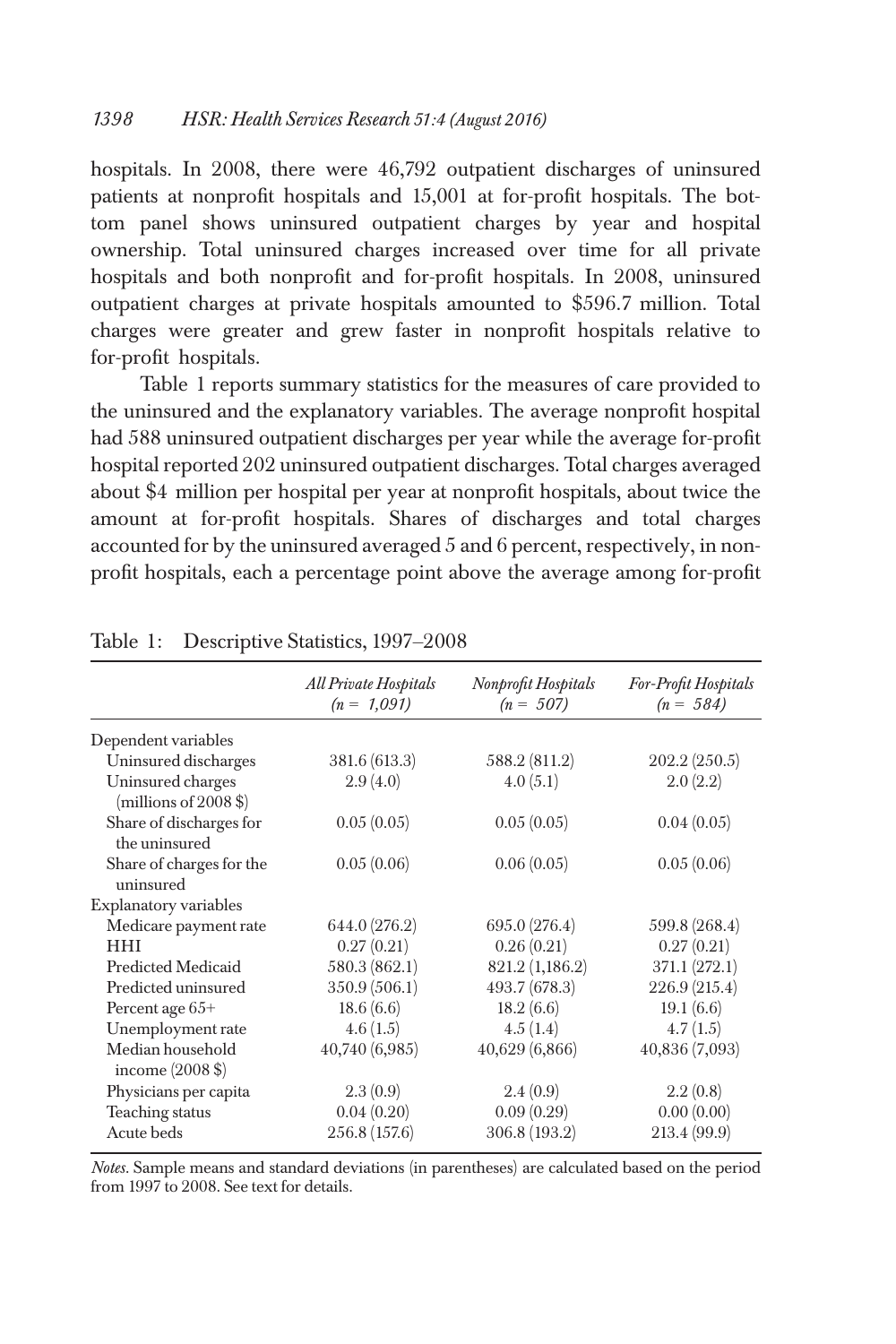hospitals. In 2008, there were 46,792 outpatient discharges of uninsured patients at nonprofit hospitals and 15,001 at for-profit hospitals. The bottom panel shows uninsured outpatient charges by year and hospital ownership. Total uninsured charges increased over time for all private hospitals and both nonprofit and for-profit hospitals. In 2008, uninsured outpatient charges at private hospitals amounted to \$596.7 million. Total charges were greater and grew faster in nonprofit hospitals relative to for-profit hospitals.

Table 1 reports summary statistics for the measures of care provided to the uninsured and the explanatory variables. The average nonprofit hospital had 588 uninsured outpatient discharges per year while the average for-profit hospital reported 202 uninsured outpatient discharges. Total charges averaged about \$4 million per hospital per year at nonprofit hospitals, about twice the amount at for-profit hospitals. Shares of discharges and total charges accounted for by the uninsured averaged 5 and 6 percent, respectively, in nonprofit hospitals, each a percentage point above the average among for-profit

|                                                            | <b>All Private Hospitals</b><br>$(n = 1,091)$ | Nonprofit Hospitals<br>$(n = 507)$ | For-Profit Hospitals<br>$(n = 584)$ |
|------------------------------------------------------------|-----------------------------------------------|------------------------------------|-------------------------------------|
| Dependent variables                                        |                                               |                                    |                                     |
| Uninsured discharges                                       | 381.6 (613.3)                                 | 588.2 (811.2)                      | 202.2(250.5)                        |
| Uninsured charges<br>(millions of $2008$ \$)               | 2.9(4.0)                                      | 4.0(5.1)                           | 2.0(2.2)                            |
| Share of discharges for<br>the uninsured                   | 0.05(0.05)                                    | 0.05(0.05)                         | 0.04(0.05)                          |
| Share of charges for the<br>uninsured                      | 0.05(0.06)                                    | 0.06(0.05)                         | 0.05(0.06)                          |
| <b>Explanatory variables</b>                               |                                               |                                    |                                     |
| Medicare payment rate                                      | 644.0 (276.2)                                 | 695.0 (276.4)                      | 599.8 (268.4)                       |
| <b>HHI</b>                                                 | 0.27(0.21)                                    | 0.26(0.21)                         | 0.27(0.21)                          |
| Predicted Medicaid                                         | 580.3 (862.1)                                 | 821.2 (1,186.2)                    | 371.1 (272.1)                       |
| Predicted uninsured                                        | 350.9(506.1)                                  | 493.7 (678.3)                      | 226.9 (215.4)                       |
| Percent age $65+$                                          | 18.6(6.6)                                     | 18.2(6.6)                          | 19.1(6.6)                           |
| Unemployment rate                                          | 4.6(1.5)                                      | 4.5(1.4)                           | 4.7(1.5)                            |
| Median household<br>income $(2008 \text{ } \frac{\pi}{6})$ | 40,740 (6,985)                                | 40,629 (6,866)                     | 40,836 (7,093)                      |
| Physicians per capita                                      | 2.3(0.9)                                      | 2.4(0.9)                           | 2.2(0.8)                            |
| Teaching status                                            | 0.04(0.20)                                    | 0.09(0.29)                         | 0.00(0.00)                          |
| Acute beds                                                 | 256.8 (157.6)                                 | 306.8 (193.2)                      | 213.4 (99.9)                        |

Table 1: Descriptive Statistics, 1997–2008

Notes. Sample means and standard deviations (in parentheses) are calculated based on the period from 1997 to 2008. See text for details.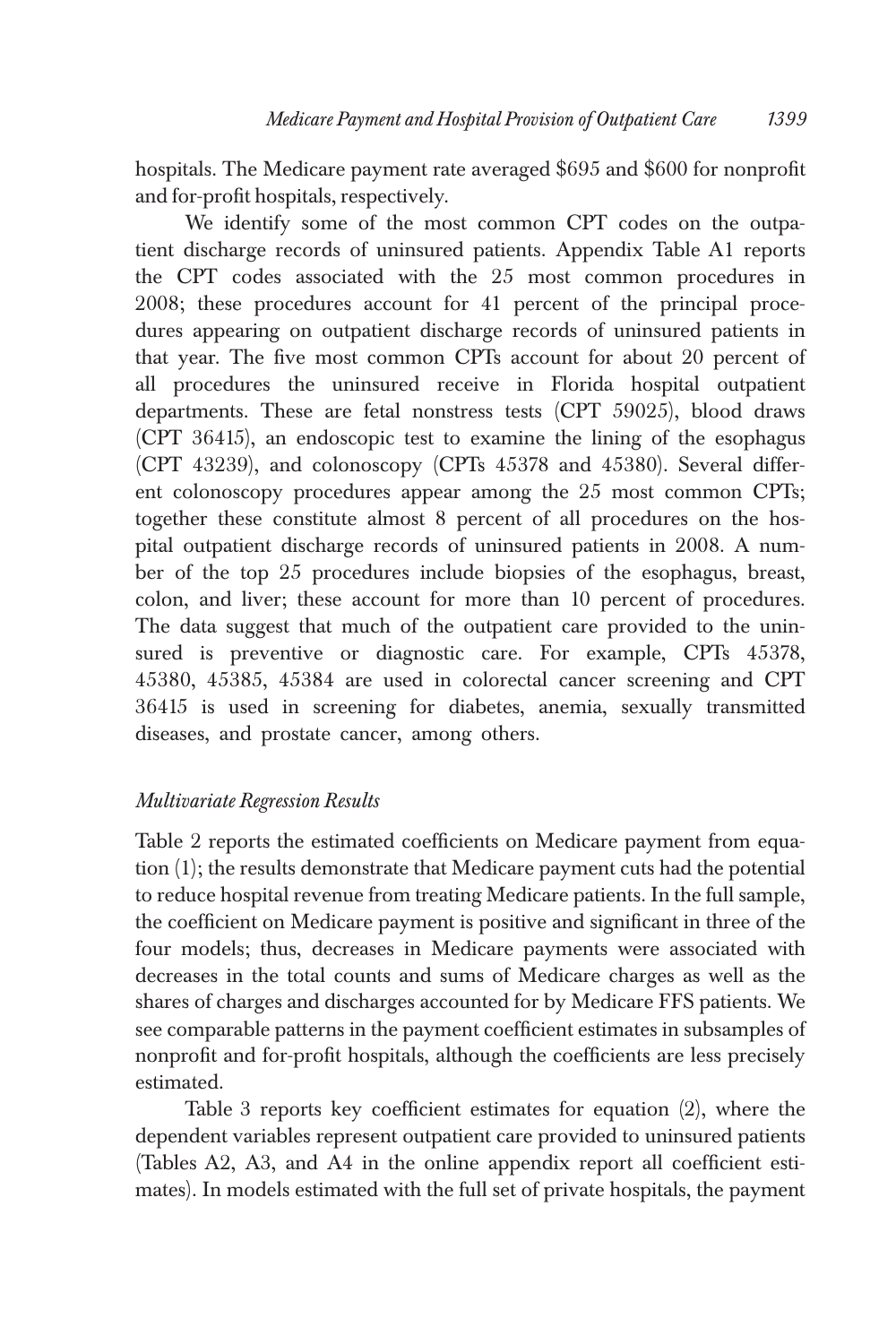hospitals. The Medicare payment rate averaged \$695 and \$600 for nonprofit and for-profit hospitals, respectively.

We identify some of the most common CPT codes on the outpatient discharge records of uninsured patients. Appendix Table A1 reports the CPT codes associated with the 25 most common procedures in 2008; these procedures account for 41 percent of the principal procedures appearing on outpatient discharge records of uninsured patients in that year. The five most common CPTs account for about 20 percent of all procedures the uninsured receive in Florida hospital outpatient departments. These are fetal nonstress tests (CPT 59025), blood draws (CPT 36415), an endoscopic test to examine the lining of the esophagus (CPT 43239), and colonoscopy (CPTs 45378 and 45380). Several different colonoscopy procedures appear among the 25 most common CPTs; together these constitute almost 8 percent of all procedures on the hospital outpatient discharge records of uninsured patients in 2008. A number of the top 25 procedures include biopsies of the esophagus, breast, colon, and liver; these account for more than 10 percent of procedures. The data suggest that much of the outpatient care provided to the uninsured is preventive or diagnostic care. For example, CPTs 45378, 45380, 45385, 45384 are used in colorectal cancer screening and CPT 36415 is used in screening for diabetes, anemia, sexually transmitted diseases, and prostate cancer, among others.

#### Multivariate Regression Results

Table 2 reports the estimated coefficients on Medicare payment from equation (1); the results demonstrate that Medicare payment cuts had the potential to reduce hospital revenue from treating Medicare patients. In the full sample, the coefficient on Medicare payment is positive and significant in three of the four models; thus, decreases in Medicare payments were associated with decreases in the total counts and sums of Medicare charges as well as the shares of charges and discharges accounted for by Medicare FFS patients. We see comparable patterns in the payment coefficient estimates in subsamples of nonprofit and for-profit hospitals, although the coefficients are less precisely estimated.

Table 3 reports key coefficient estimates for equation (2), where the dependent variables represent outpatient care provided to uninsured patients (Tables A2, A3, and A4 in the online appendix report all coefficient estimates). In models estimated with the full set of private hospitals, the payment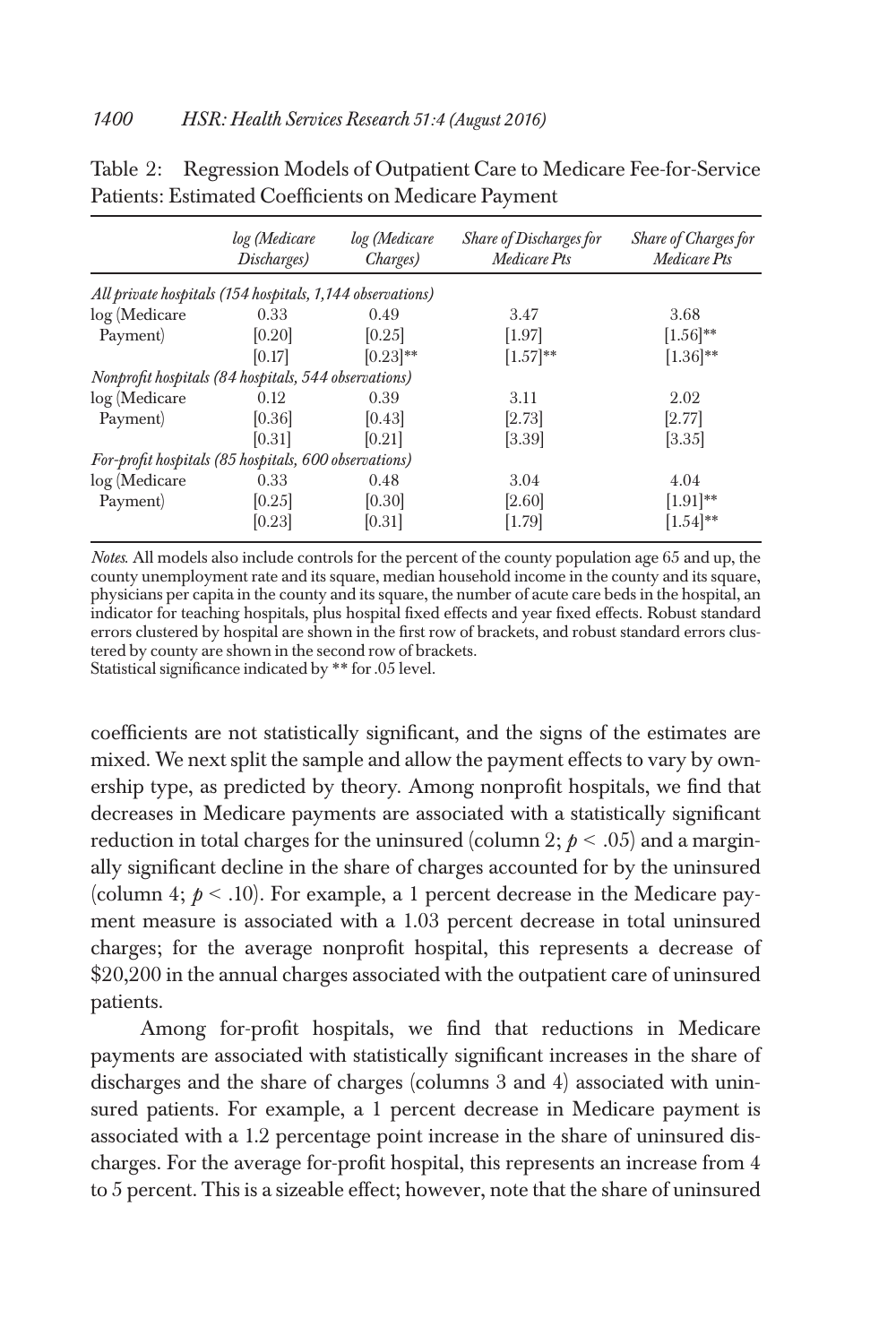|                                                           | log (Medicare<br>Discharges) | log (Medicare<br>Charges) | Share of Discharges for<br>Medicare Pts | Share of Charges for<br>Medicare Pts |
|-----------------------------------------------------------|------------------------------|---------------------------|-----------------------------------------|--------------------------------------|
| All private hospitals (154 hospitals, 1,144 observations) |                              |                           |                                         |                                      |
| log(Medicare)                                             | 0.33                         | 0.49                      | 3.47                                    | 3.68                                 |
| Payment)                                                  | [0.20]                       | [0.25]                    | $[1.97]$                                | $[1.56]^{**}$                        |
|                                                           | [0.17]                       | $[0.23]$ **               | $[1.57]^{**}$                           | $[1.36]^{**}$                        |
| Nonprofit hospitals (84 hospitals, 544 observations)      |                              |                           |                                         |                                      |
| log(Medicare)                                             | 0.12                         | 0.39                      | 3.11                                    | 2.02                                 |
| Payment)                                                  | [0.36]                       | [0.43]                    | [2.73]                                  | [2.77]                               |
|                                                           | [0.31]                       | [0.21]                    | [3.39]                                  | [3.35]                               |
| For-profit hospitals (85 hospitals, 600 observations)     |                              |                           |                                         |                                      |
| log (Medicare                                             | 0.33                         | 0.48                      | 3.04                                    | 4.04                                 |
| Payment)                                                  | [0.25]                       | [0.30]                    | [2.60]                                  | $[1.91]^{**}$                        |
|                                                           | [0.23]                       | [0.31]                    | [1.79]                                  | $[1.54]^{**}$                        |

Table 2: Regression Models of Outpatient Care to Medicare Fee-for-Service Patients: Estimated Coefficients on Medicare Payment

Notes. All models also include controls for the percent of the county population age 65 and up, the county unemployment rate and its square, median household income in the county and its square, physicians per capita in the county and its square, the number of acute care beds in the hospital, an indicator for teaching hospitals, plus hospital fixed effects and year fixed effects. Robust standard errors clustered by hospital are shown in the first row of brackets, and robust standard errors clustered by county are shown in the second row of brackets. Statistical significance indicated by \*\* for .05 level.

coefficients are not statistically significant, and the signs of the estimates are mixed. We next split the sample and allow the payment effects to vary by ownership type, as predicted by theory. Among nonprofit hospitals, we find that decreases in Medicare payments are associated with a statistically significant reduction in total charges for the uninsured (column 2;  $p < .05$ ) and a marginally significant decline in the share of charges accounted for by the uninsured (column 4;  $p < .10$ ). For example, a 1 percent decrease in the Medicare payment measure is associated with a 1.03 percent decrease in total uninsured charges; for the average nonprofit hospital, this represents a decrease of \$20,200 in the annual charges associated with the outpatient care of uninsured patients.

Among for-profit hospitals, we find that reductions in Medicare payments are associated with statistically significant increases in the share of discharges and the share of charges (columns 3 and 4) associated with uninsured patients. For example, a 1 percent decrease in Medicare payment is associated with a 1.2 percentage point increase in the share of uninsured discharges. For the average for-profit hospital, this represents an increase from 4 to 5 percent. This is a sizeable effect; however, note that the share of uninsured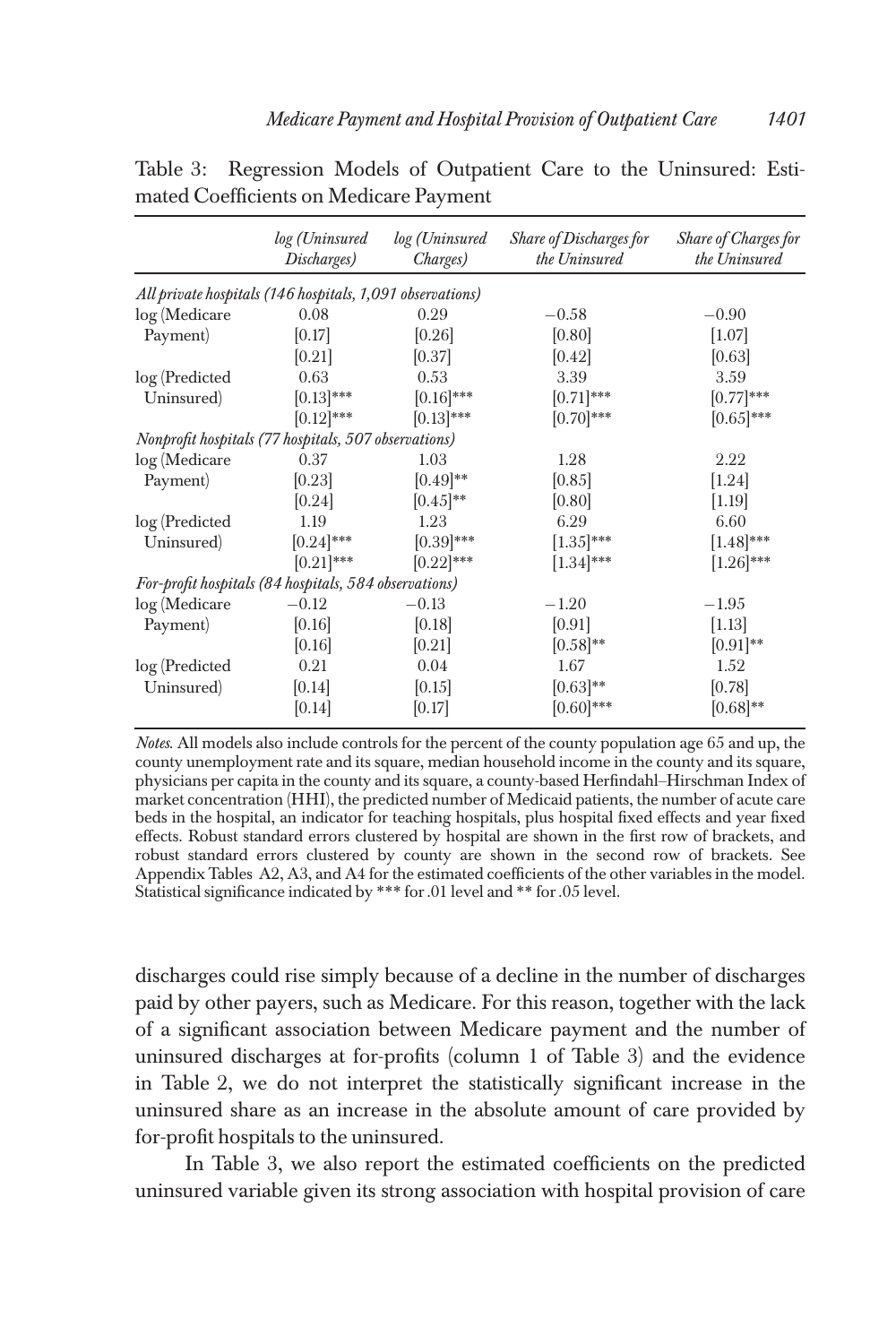|                                                           | log (Uninsured<br>Discharges) | log (Uninsured<br>Charges) | Share of Discharges for<br>the Uninsured | Share of Charges for<br>the Uninsured |
|-----------------------------------------------------------|-------------------------------|----------------------------|------------------------------------------|---------------------------------------|
| All private hospitals (146 hospitals, 1,091 observations) |                               |                            |                                          |                                       |
| log (Medicare                                             | 0.08                          | 0.29                       | $-0.58$                                  | $-0.90$                               |
| Payment)                                                  | [0.17]                        | [0.26]                     | [0.80]                                   | $[1.07]$                              |
|                                                           | [0.21]                        | [0.37]                     | [0.42]                                   | [0.63]                                |
| log (Predicted                                            | 0.63                          | 0.53                       | 3.39                                     | 3.59                                  |
| Uninsured)                                                | $[0.13]$ ***                  | $[0.16]^{***}$             | $[0.71]$ ***                             | $[0.77]$ ***                          |
|                                                           | $[0.12]$ ***                  | $[0.13]$ ***               | $[0.70]$ ***                             | $[0.65]$ ***                          |
| Nonprofit hospitals (77 hospitals, 507 observations)      |                               |                            |                                          |                                       |
| log (Medicare                                             | 0.37                          | 1.03                       | 1.28                                     | 2.22                                  |
| Payment)                                                  | [0.23]                        | $[0.49]$ **                | [0.85]                                   | $[1.24]$                              |
|                                                           | [0.24]                        | $[0.45]$ **                | [0.80]                                   | [1.19]                                |
| log (Predicted                                            | 1.19                          | 1.23                       | 6.29                                     | 6.60                                  |
| Uninsured)                                                | $[0.24]$ ***                  | $[0.39]$ ***               | $[1.35]***$                              | $[1.48]$ ***                          |
|                                                           | $[0.21]$ ***                  | $[0.22]$ ***               | $[1.34]$ ***                             | $[1.26]$ ***                          |
| For-profit hospitals (84 hospitals, 584 observations)     |                               |                            |                                          |                                       |
| log (Medicare                                             | $-0.12$                       | $-0.13$                    | $-1.20$                                  | $-1.95$                               |
| Payment)                                                  | [0.16]                        | [0.18]                     | [0.91]                                   | $\left[1.13\right]$                   |
|                                                           | [0.16]                        | [0.21]                     | $[0.58]^{**}$                            | $[0.91]$ **                           |
| log (Predicted                                            | 0.21                          | 0.04                       | 1.67                                     | 1.52                                  |
| Uninsured)                                                | [0.14]                        | [0.15]                     | $[0.63]^{**}$                            | [0.78]                                |
|                                                           | [0.14]                        | [0.17]                     | $[0.60]$ ***                             | $[0.68]^{**}$                         |

Table 3: Regression Models of Outpatient Care to the Uninsured: Estimated Coefficients on Medicare Payment

Notes. All models also include controls for the percent of the county population age 65 and up, the county unemployment rate and its square, median household income in the county and its square, physicians per capita in the county and its square, a county-based Herfindahl–Hirschman Index of market concentration (HHI), the predicted number of Medicaid patients, the number of acute care beds in the hospital, an indicator for teaching hospitals, plus hospital fixed effects and year fixed effects. Robust standard errors clustered by hospital are shown in the first row of brackets, and robust standard errors clustered by county are shown in the second row of brackets. See Appendix Tables A2, A3, and A4 for the estimated coefficients of the other variables in the model. Statistical significance indicated by \*\*\* for .01 level and \*\* for .05 level.

discharges could rise simply because of a decline in the number of discharges paid by other payers, such as Medicare. For this reason, together with the lack of a significant association between Medicare payment and the number of uninsured discharges at for-profits (column 1 of Table 3) and the evidence in Table 2, we do not interpret the statistically significant increase in the uninsured share as an increase in the absolute amount of care provided by for-profit hospitals to the uninsured.

In Table 3, we also report the estimated coefficients on the predicted uninsured variable given its strong association with hospital provision of care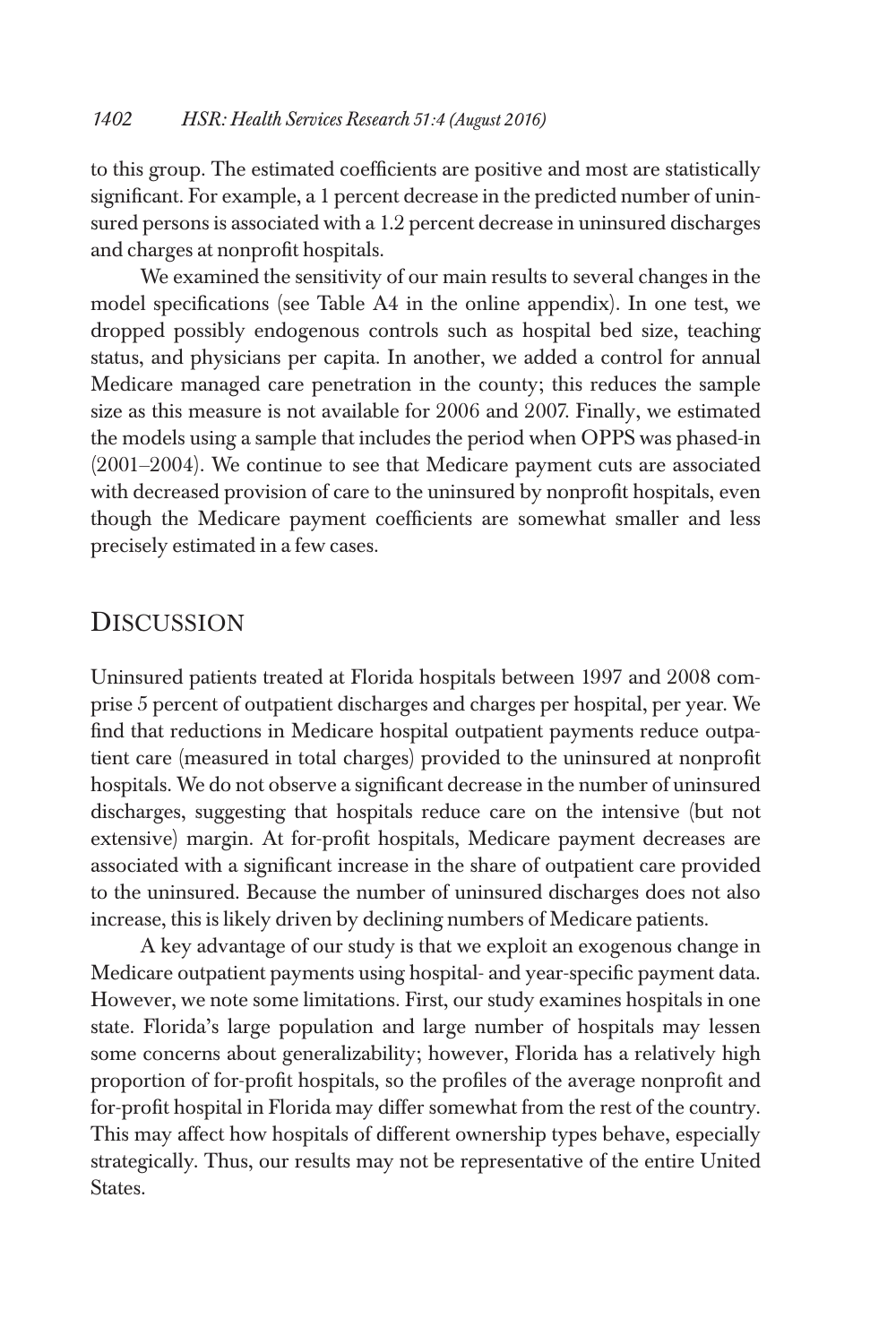to this group. The estimated coefficients are positive and most are statistically significant. For example, a 1 percent decrease in the predicted number of uninsured persons is associated with a 1.2 percent decrease in uninsured discharges and charges at nonprofit hospitals.

We examined the sensitivity of our main results to several changes in the model specifications (see Table A4 in the online appendix). In one test, we dropped possibly endogenous controls such as hospital bed size, teaching status, and physicians per capita. In another, we added a control for annual Medicare managed care penetration in the county; this reduces the sample size as this measure is not available for 2006 and 2007. Finally, we estimated the models using a sample that includes the period when OPPS was phased-in (2001–2004). We continue to see that Medicare payment cuts are associated with decreased provision of care to the uninsured by nonprofit hospitals, even though the Medicare payment coefficients are somewhat smaller and less precisely estimated in a few cases.

### DISCUSSION

Uninsured patients treated at Florida hospitals between 1997 and 2008 comprise 5 percent of outpatient discharges and charges per hospital, per year. We find that reductions in Medicare hospital outpatient payments reduce outpatient care (measured in total charges) provided to the uninsured at nonprofit hospitals. We do not observe a significant decrease in the number of uninsured discharges, suggesting that hospitals reduce care on the intensive (but not extensive) margin. At for-profit hospitals, Medicare payment decreases are associated with a significant increase in the share of outpatient care provided to the uninsured. Because the number of uninsured discharges does not also increase, this is likely driven by declining numbers of Medicare patients.

A key advantage of our study is that we exploit an exogenous change in Medicare outpatient payments using hospital- and year-specific payment data. However, we note some limitations. First, our study examines hospitals in one state. Florida's large population and large number of hospitals may lessen some concerns about generalizability; however, Florida has a relatively high proportion of for-profit hospitals, so the profiles of the average nonprofit and for-profit hospital in Florida may differ somewhat from the rest of the country. This may affect how hospitals of different ownership types behave, especially strategically. Thus, our results may not be representative of the entire United States.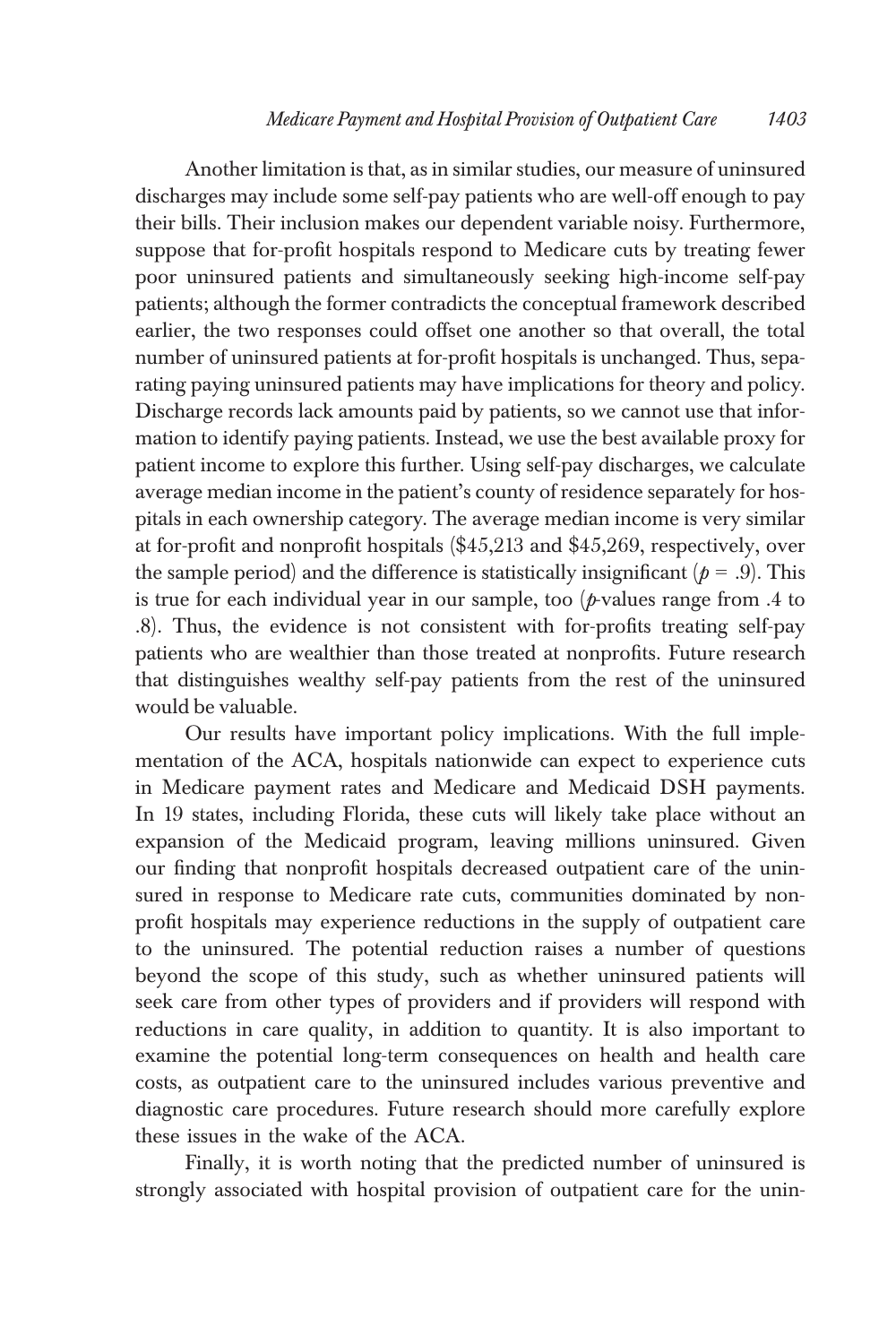Another limitation is that, as in similar studies, our measure of uninsured discharges may include some self-pay patients who are well-off enough to pay their bills. Their inclusion makes our dependent variable noisy. Furthermore, suppose that for-profit hospitals respond to Medicare cuts by treating fewer poor uninsured patients and simultaneously seeking high-income self-pay patients; although the former contradicts the conceptual framework described earlier, the two responses could offset one another so that overall, the total number of uninsured patients at for-profit hospitals is unchanged. Thus, separating paying uninsured patients may have implications for theory and policy. Discharge records lack amounts paid by patients, so we cannot use that information to identify paying patients. Instead, we use the best available proxy for patient income to explore this further. Using self-pay discharges, we calculate average median income in the patient's county of residence separately for hospitals in each ownership category. The average median income is very similar at for-profit and nonprofit hospitals (\$45,213 and \$45,269, respectively, over the sample period) and the difference is statistically insignificant ( $p = .9$ ). This is true for each individual year in our sample, too  $(p$ -values range from .4 to .8). Thus, the evidence is not consistent with for-profits treating self-pay patients who are wealthier than those treated at nonprofits. Future research that distinguishes wealthy self-pay patients from the rest of the uninsured would be valuable.

Our results have important policy implications. With the full implementation of the ACA, hospitals nationwide can expect to experience cuts in Medicare payment rates and Medicare and Medicaid DSH payments. In 19 states, including Florida, these cuts will likely take place without an expansion of the Medicaid program, leaving millions uninsured. Given our finding that nonprofit hospitals decreased outpatient care of the uninsured in response to Medicare rate cuts, communities dominated by nonprofit hospitals may experience reductions in the supply of outpatient care to the uninsured. The potential reduction raises a number of questions beyond the scope of this study, such as whether uninsured patients will seek care from other types of providers and if providers will respond with reductions in care quality, in addition to quantity. It is also important to examine the potential long-term consequences on health and health care costs, as outpatient care to the uninsured includes various preventive and diagnostic care procedures. Future research should more carefully explore these issues in the wake of the ACA.

Finally, it is worth noting that the predicted number of uninsured is strongly associated with hospital provision of outpatient care for the unin-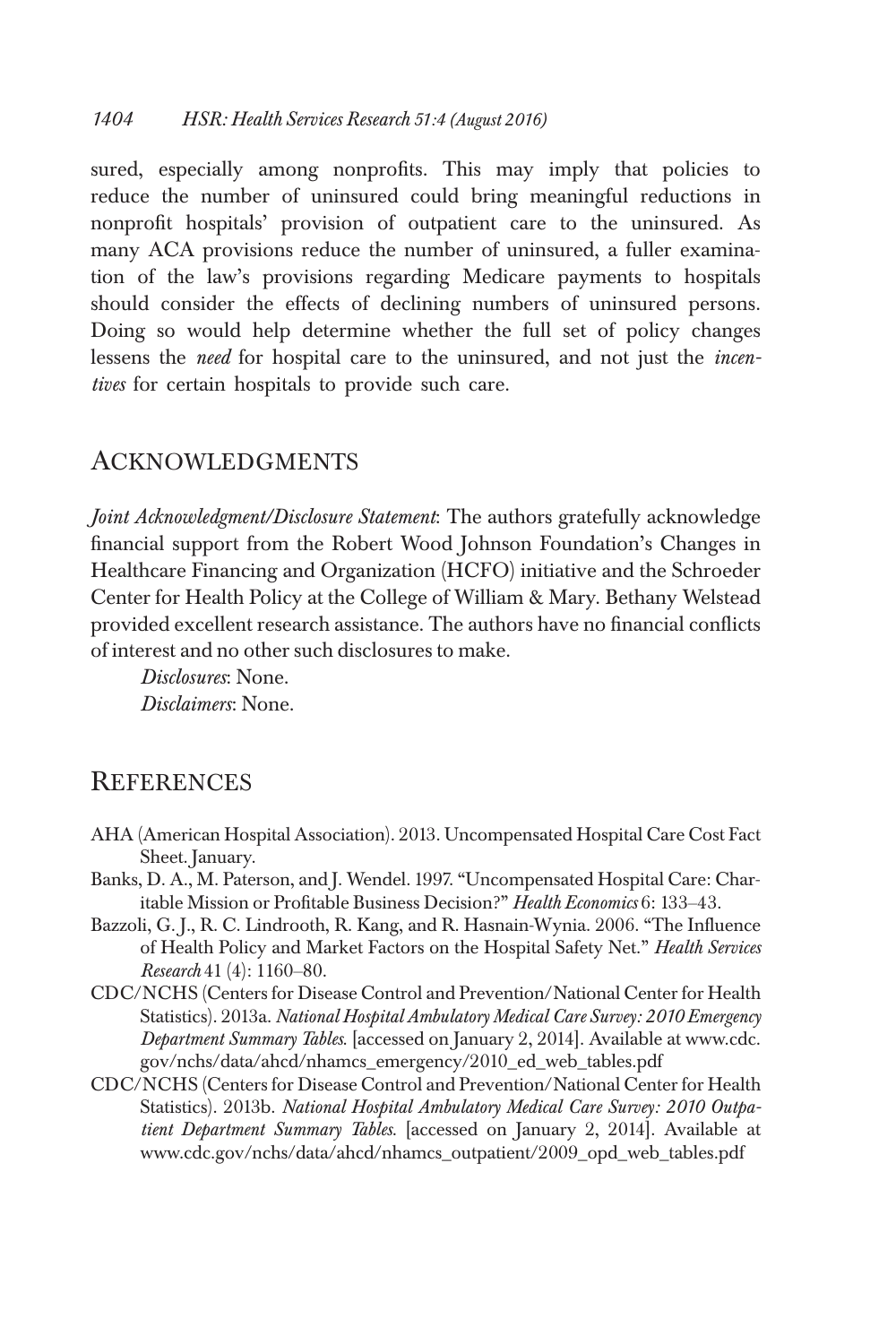#### 1404 HSR: Health Services Research 51:4 (August 2016)

sured, especially among nonprofits. This may imply that policies to reduce the number of uninsured could bring meaningful reductions in nonprofit hospitals' provision of outpatient care to the uninsured. As many ACA provisions reduce the number of uninsured, a fuller examination of the law's provisions regarding Medicare payments to hospitals should consider the effects of declining numbers of uninsured persons. Doing so would help determine whether the full set of policy changes lessens the need for hospital care to the uninsured, and not just the incentives for certain hospitals to provide such care.

### ACKNOWLEDGMENTS

Joint Acknowledgment/Disclosure Statement: The authors gratefully acknowledge financial support from the Robert Wood Johnson Foundation's Changes in Healthcare Financing and Organization (HCFO) initiative and the Schroeder Center for Health Policy at the College of William & Mary. Bethany Welstead provided excellent research assistance. The authors have no financial conflicts of interest and no other such disclosures to make.

Disclosures: None. Disclaimers: None.

## **REFERENCES**

- AHA (American Hospital Association). 2013. Uncompensated Hospital Care Cost Fact Sheet. January.
- Banks, D. A., M. Paterson, and J. Wendel. 1997. "Uncompensated Hospital Care: Charitable Mission or Profitable Business Decision?" Health Economics 6: 133-43.
- Bazzoli, G. J., R. C. Lindrooth, R. Kang, and R. Hasnain-Wynia. 2006. "The Influence of Health Policy and Market Factors on the Hospital Safety Net." Health Services Research 41 (4): 1160–80.
- CDC/NCHS (Centers for Disease Control and Prevention/National Center for Health Statistics). 2013a. National Hospital Ambulatory Medical Care Survey: 2010 Emergency Department Summary Tables. [accessed on January 2, 2014]. Available at [www.cdc.](http://www.cdc.gov/nchs/data/ahcd/nhamcs_emergency/2010_ed_web_tables.pdf) [gov/nchs/data/ahcd/nhamcs\\_emergency/2010\\_ed\\_web\\_tables.pdf](http://www.cdc.gov/nchs/data/ahcd/nhamcs_emergency/2010_ed_web_tables.pdf)
- CDC/NCHS (Centers for Disease Control and Prevention/National Center for Health Statistics). 2013b. National Hospital Ambulatory Medical Care Survey: 2010 Outpatient Department Summary Tables. [accessed on January 2, 2014]. Available at [www.cdc.gov/nchs/data/ahcd/nhamcs\\_outpatient/2009\\_opd\\_web\\_tables.pdf](http://www.cdc.gov/nchs/data/ahcd/nhamcs_outpatient/2009_opd_web_tables.pdf)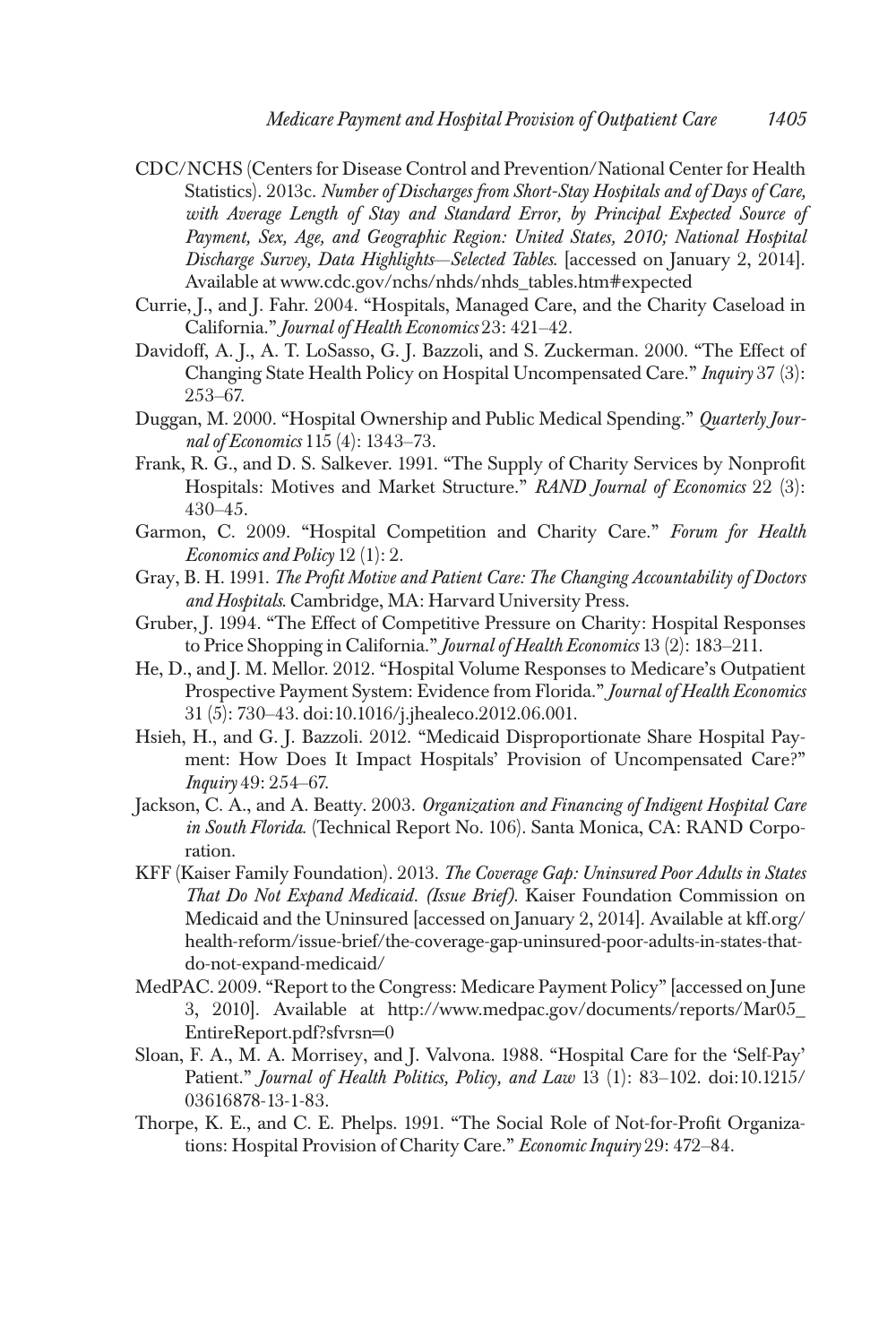- CDC/NCHS (Centers for Disease Control and Prevention/National Center for Health Statistics). 2013c. Number of Discharges from Short-Stay Hospitals and of Days of Care, with Average Length of Stay and Standard Error, by Principal Expected Source of Payment, Sex, Age, and Geographic Region: United States, 2010; National Hospital Discharge Survey, Data Highlights—Selected Tables. [accessed on January 2, 2014]. Available at [www.cdc.gov/nchs/nhds/nhds\\_tables.htm#expected](http://www.cdc.gov/nchs/nhds/nhds_tables.htm#expected)
- Currie, J., and J. Fahr. 2004. "Hospitals, Managed Care, and the Charity Caseload in California." Journal of Health Economics 23: 421–42.
- Davidoff, A. J., A. T. LoSasso, G. J. Bazzoli, and S. Zuckerman. 2000. "The Effect of Changing State Health Policy on Hospital Uncompensated Care." Inquiry 37 (3): 253–67.
- Duggan, M. 2000. "Hospital Ownership and Public Medical Spending." Quarterly Journal of Economics 115 (4): 1343–73.
- Frank, R. G., and D. S. Salkever. 1991. "The Supply of Charity Services by Nonprofit Hospitals: Motives and Market Structure." RAND Journal of Economics 22 (3): 430–45.
- Garmon, C. 2009. "Hospital Competition and Charity Care." Forum for Health Economics and Policy 12 (1): 2.
- Gray, B. H. 1991. The Profit Motive and Patient Care: The Changing Accountability of Doctors and Hospitals. Cambridge, MA: Harvard University Press.
- Gruber, J. 1994. "The Effect of Competitive Pressure on Charity: Hospital Responses to Price Shopping in California." Journal of Health Economics 13 (2): 183-211.
- He, D., and J. M. Mellor. 2012. "Hospital Volume Responses to Medicare's Outpatient Prospective Payment System: Evidence from Florida." Journal of Health Economics 31 (5): 730–43. doi:[10.1016/j.jhealeco.2012.06.001.](http://dx.doi.org/10.1016/j.jhealeco.2012.06.001)
- Hsieh, H., and G. J. Bazzoli. 2012. "Medicaid Disproportionate Share Hospital Payment: How Does It Impact Hospitals' Provision of Uncompensated Care?" Inquiry 49: 254–67.
- Jackson, C. A., and A. Beatty. 2003. Organization and Financing of Indigent Hospital Care in South Florida. (Technical Report No. 106). Santa Monica, CA: RAND Corporation.
- KFF (Kaiser Family Foundation). 2013. The Coverage Gap: Uninsured Poor Adults in States That Do Not Expand Medicaid. (Issue Brief). Kaiser Foundation Commission on Medicaid and the Uninsured [accessed on January 2, 2014]. Available at [kff.org/](http://kff.org/health-reform/issue-brief/the-coverage-gap-uninsured-poor-adults-in-states-that-do-not-expand-medicaid/) [health-reform/issue-brief/the-coverage-gap-uninsured-poor-adults-in-states-that](http://kff.org/health-reform/issue-brief/the-coverage-gap-uninsured-poor-adults-in-states-that-do-not-expand-medicaid/)[do-not-expand-medicaid/](http://kff.org/health-reform/issue-brief/the-coverage-gap-uninsured-poor-adults-in-states-that-do-not-expand-medicaid/)
- MedPAC. 2009. "Report to the Congress: Medicare Payment Policy" [accessed on June 3, 2010]. Available at [http://www.medpac.gov/documents/reports/Mar05\\_](http://www.medpac.gov/documents/reports/Mar05_EntireReport.pdf?sfvrsn=0) [EntireReport.pdf?sfvrsn=0](http://www.medpac.gov/documents/reports/Mar05_EntireReport.pdf?sfvrsn=0)
- Sloan, F. A., M. A. Morrisey, and J. Valvona. 1988. "Hospital Care for the 'Self-Pay' Patient." Journal of Health Politics, Policy, and Law 13 (1): 83-102. doi[:10.1215/](http://dx.doi.org/10.1215/03616878-13-1-83) [03616878-13-1-83.](http://dx.doi.org/10.1215/03616878-13-1-83)
- Thorpe, K. E., and C. E. Phelps. 1991. "The Social Role of Not-for-Profit Organizations: Hospital Provision of Charity Care." Economic Inquiry 29: 472-84.